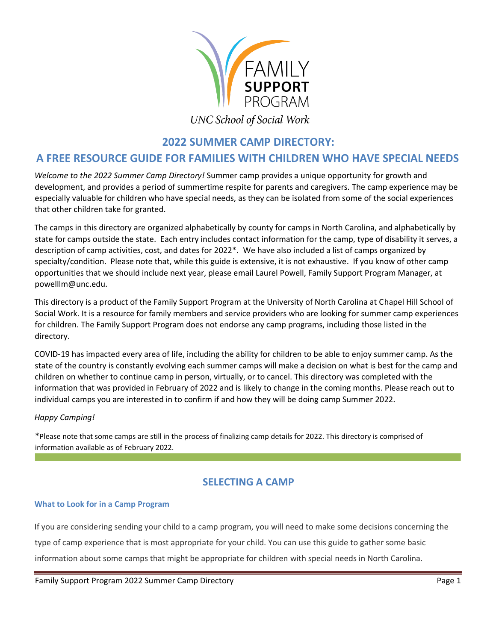

# **UNC School of Social Work**

## **2022 SUMMER CAMP DIRECTORY:**

## **A FREE RESOURCE GUIDE FOR FAMILIES WITH CHILDREN WHO HAVE SPECIAL NEEDS**

*Welcome to the 2022 Summer Camp Directory!* Summer camp provides a unique opportunity for growth and development, and provides a period of summertime respite for parents and caregivers. The camp experience may be especially valuable for children who have special needs, as they can be isolated from some of the social experiences that other children take for granted.

The camps in this directory are organized alphabetically by county for camps in North Carolina, and alphabetically by state for camps outside the state. Each entry includes contact information for the camp, type of disability it serves, a description of camp activities, cost, and dates for 2022\*. We have also included a list of camps organized by specialty/condition. Please note that, while this guide is extensive, it is not exhaustive. If you know of other camp opportunities that we should include next year, please email Laurel Powell, Family Support Program Manager, at powelllm@unc.edu.

This directory is a product of the Family Support Program at the University of North Carolina at Chapel Hill School of Social Work. It is a resource for family members and service providers who are looking for summer camp experiences for children. The Family Support Program does not endorse any camp programs, including those listed in the directory.

COVID-19 has impacted every area of life, including the ability for children to be able to enjoy summer camp. As the state of the country is constantly evolving each summer camps will make a decision on what is best for the camp and children on whether to continue camp in person, virtually, or to cancel. This directory was completed with the information that was provided in February of 2022 and is likely to change in the coming months. Please reach out to individual camps you are interested in to confirm if and how they will be doing camp Summer 2022.

#### *Happy Camping!*

\*Please note that some camps are still in the process of finalizing camp details for 2022. This directory is comprised of information available as of February 2022.

## **SELECTING A CAMP**

#### **What to Look for in a Camp Program**

If you are considering sending your child to a camp program, you will need to make some decisions concerning the type of camp experience that is most appropriate for your child. You can use this guide to gather some basic information about some camps that might be appropriate for children with special needs in North Carolina.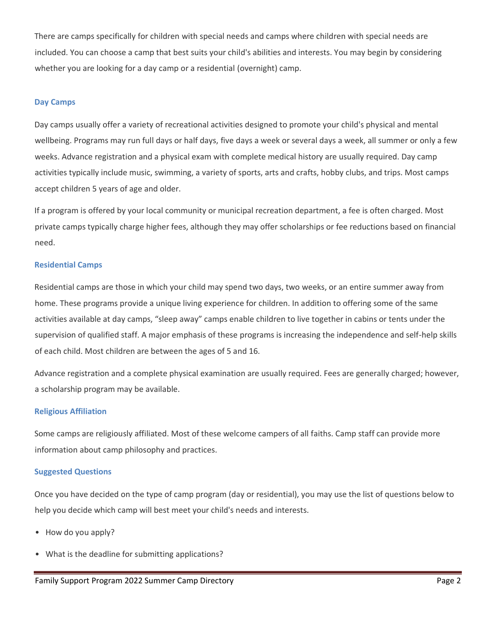There are camps specifically for children with special needs and camps where children with special needs are included. You can choose a camp that best suits your child's abilities and interests. You may begin by considering whether you are looking for a day camp or a residential (overnight) camp.

#### **Day Camps**

Day camps usually offer a variety of recreational activities designed to promote your child's physical and mental wellbeing. Programs may run full days or half days, five days a week or several days a week, all summer or only a few weeks. Advance registration and a physical exam with complete medical history are usually required. Day camp activities typically include music, swimming, a variety of sports, arts and crafts, hobby clubs, and trips. Most camps accept children 5 years of age and older.

If a program is offered by your local community or municipal recreation department, a fee is often charged. Most private camps typically charge higher fees, although they may offer scholarships or fee reductions based on financial need.

#### **Residential Camps**

Residential camps are those in which your child may spend two days, two weeks, or an entire summer away from home. These programs provide a unique living experience for children. In addition to offering some of the same activities available at day camps, "sleep away" camps enable children to live together in cabins or tents under the supervision of qualified staff. A major emphasis of these programs is increasing the independence and self-help skills of each child. Most children are between the ages of 5 and 16.

Advance registration and a complete physical examination are usually required. Fees are generally charged; however, a scholarship program may be available.

#### **Religious Affiliation**

Some camps are religiously affiliated. Most of these welcome campers of all faiths. Camp staff can provide more information about camp philosophy and practices.

#### **Suggested Questions**

Once you have decided on the type of camp program (day or residential), you may use the list of questions below to help you decide which camp will best meet your child's needs and interests.

- How do you apply?
- What is the deadline for submitting applications?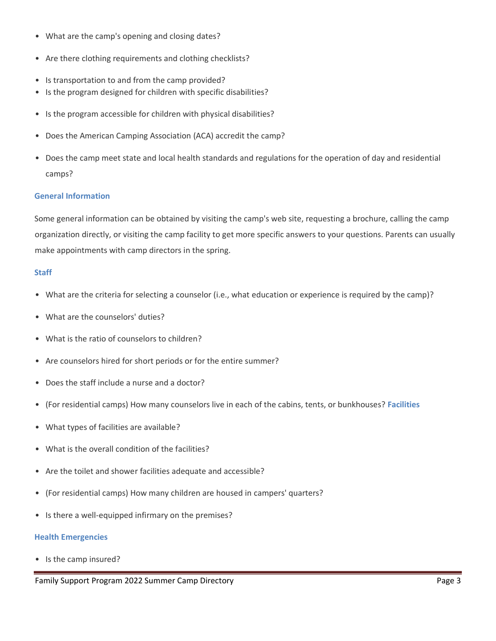- What are the camp's opening and closing dates?
- Are there clothing requirements and clothing checklists?
- Is transportation to and from the camp provided?
- Is the program designed for children with specific disabilities?
- Is the program accessible for children with physical disabilities?
- Does the American Camping Association (ACA) accredit the camp?
- Does the camp meet state and local health standards and regulations for the operation of day and residential camps?

#### **General Information**

Some general information can be obtained by visiting the camp's web site, requesting a brochure, calling the camp organization directly, or visiting the camp facility to get more specific answers to your questions. Parents can usually make appointments with camp directors in the spring.

#### **Staff**

- What are the criteria for selecting a counselor (i.e., what education or experience is required by the camp)?
- What are the counselors' duties?
- What is the ratio of counselors to children?
- Are counselors hired for short periods or for the entire summer?
- Does the staff include a nurse and a doctor?
- (For residential camps) How many counselors live in each of the cabins, tents, or bunkhouses? **Facilities**
- What types of facilities are available?
- What is the overall condition of the facilities?
- Are the toilet and shower facilities adequate and accessible?
- (For residential camps) How many children are housed in campers' quarters?
- Is there a well-equipped infirmary on the premises?

#### **Health Emergencies**

• Is the camp insured?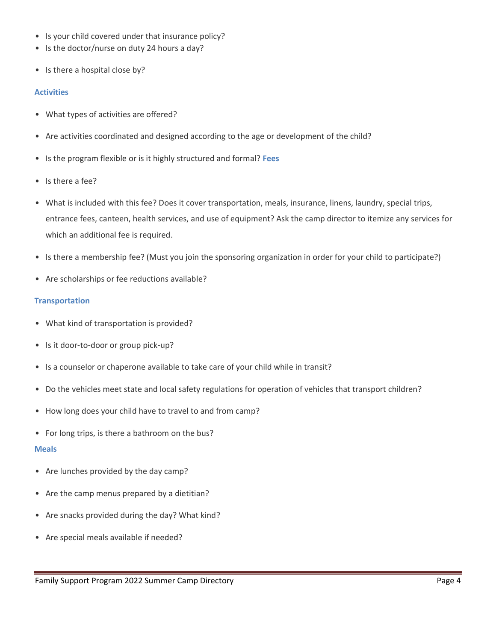- Is your child covered under that insurance policy?
- Is the doctor/nurse on duty 24 hours a day?
- Is there a hospital close by?

#### **Activities**

- What types of activities are offered?
- Are activities coordinated and designed according to the age or development of the child?
- Is the program flexible or is it highly structured and formal? **Fees**
- Is there a fee?
- What is included with this fee? Does it cover transportation, meals, insurance, linens, laundry, special trips, entrance fees, canteen, health services, and use of equipment? Ask the camp director to itemize any services for which an additional fee is required.
- Is there a membership fee? (Must you join the sponsoring organization in order for your child to participate?)
- Are scholarships or fee reductions available?

#### **Transportation**

- What kind of transportation is provided?
- Is it door-to-door or group pick-up?
- Is a counselor or chaperone available to take care of your child while in transit?
- Do the vehicles meet state and local safety regulations for operation of vehicles that transport children?
- How long does your child have to travel to and from camp?
- For long trips, is there a bathroom on the bus?

#### **Meals**

- Are lunches provided by the day camp?
- Are the camp menus prepared by a dietitian?
- Are snacks provided during the day? What kind?
- Are special meals available if needed?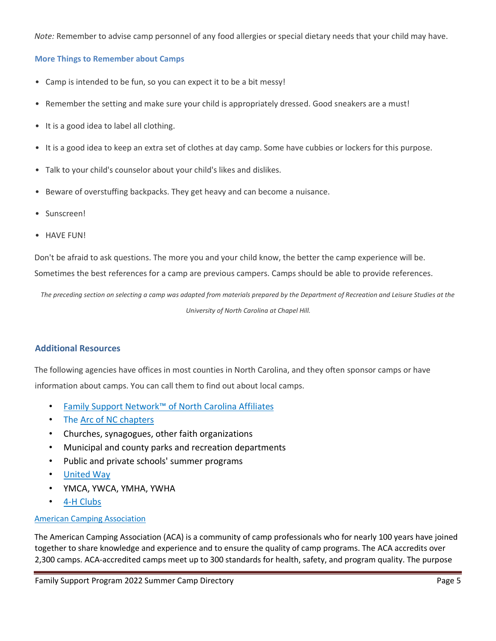*Note:* Remember to advise camp personnel of any food allergies or special dietary needs that your child may have.

#### **More Things to Remember about Camps**

- Camp is intended to be fun, so you can expect it to be a bit messy!
- Remember the setting and make sure your child is appropriately dressed. Good sneakers are a must!
- It is a good idea to label all clothing.
- It is a good idea to keep an extra set of clothes at day camp. Some have cubbies or lockers for this purpose.
- Talk to your child's counselor about your child's likes and dislikes.
- Beware of overstuffing backpacks. They get heavy and can become a nuisance.
- Sunscreen!
- HAVE FUN!

Don't be afraid to ask questions. The more you and your child know, the better the camp experience will be.

Sometimes the best references for a camp are previous campers. Camps should be able to provide references.

*The preceding section on selecting a camp was adapted from materials prepared by the Department of Recreation and Leisure Studies at the* 

*University of North Carolina at Chapel Hill.*

#### **Additional Resources**

The following agencies have offices in most counties in North Carolina, and they often sponsor camps or have information about camps. You can call them to find out about local camps.

- [Family Support Network](http://fsnnc.org/)[™](http://fsnnc.org/) [of North Carolina Affiliates](http://fsnnc.org/)
- The <u>Arc of NC chapters</u>
- Churches, synagogues, other faith organizations
- Municipal and county parks and recreation departments
- Public and private schools' summer programs
- [United Way](http://www.unitedwaync.org/)
- YMCA, YWCA, YMHA, YWHA
- [4-H Clubs](http://www.nc4h.org/)

#### [American Camping Association](http://www.acacamps.org/)

The American Camping Association (ACA) is a community of camp professionals who for nearly 100 years have joined together to share knowledge and experience and to ensure the quality of camp programs. The ACA accredits over 2,300 camps. ACA-accredited camps meet up to 300 standards for health, safety, and program quality. The purpose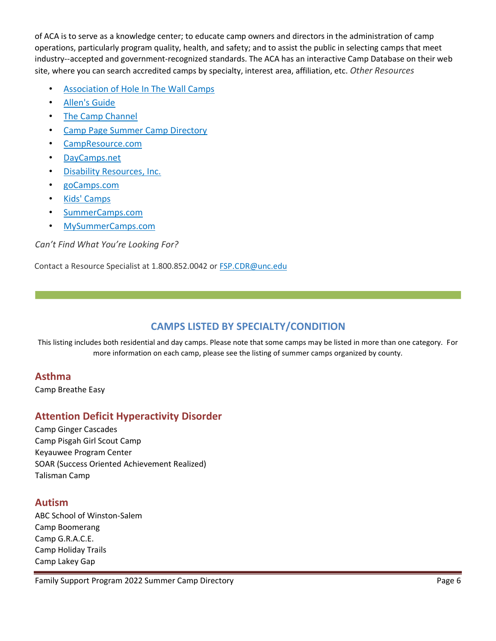of ACA is to serve as a knowledge center; to educate camp owners and directors in the administration of camp operations, particularly program quality, health, and safety; and to assist the public in selecting camps that meet industry--accepted and government-recognized standards. The ACA has an interactive Camp Database on their web site, where you can search accredited camps by specialty, interest area, affiliation, etc. *Other Resources* 

- [Association of Hole In The Wall Camps](http://www.holeinthewallcamps.org/)
- [Allen's Guide](http://www.allensguide.com/)
- [The Camp Channel](http://www.campchannel.com/)
- [Camp](http://www.camppage.com/) [Page Summer Camp Directory](http://www.camppage.com/)
- [CampResource.com](http://www.campresource.com/)
- [DayCamps.net](http://www.daycamps.net/)
- [Disability Resources, Inc.](http://www.disabilityresources.org/)
- [goCamps.com](http://www.gocamps.com/)
- [Kids' Camps](http://www.kidscamps.com/)
- [SummerCamps.com](http://www.summercamps.com/)
- [MySummerCamps.com](http://www.mysummercamps.com/)

#### *Can't Find What You're Looking For?*

Contact a Resource Specialist at 1.800.852.0042 or FSP.CDR@unc.edu

## **CAMPS LISTED BY SPECIALTY/CONDITION**

This listing includes both residential and day camps. Please note that some camps may be listed in more than one category. For more information on each camp, please see the listing of summer camps organized by county.

### **Asthma**

Camp Breathe Easy

## **Attention Deficit Hyperactivity Disorder**

Camp Ginger Cascades Camp Pisgah Girl Scout Camp Keyauwee Program Center SOAR (Success Oriented Achievement Realized) Talisman Camp

### **Autism**

ABC School of Winston-Salem Camp Boomerang Camp G.R.A.C.E. Camp Holiday Trails Camp Lakey Gap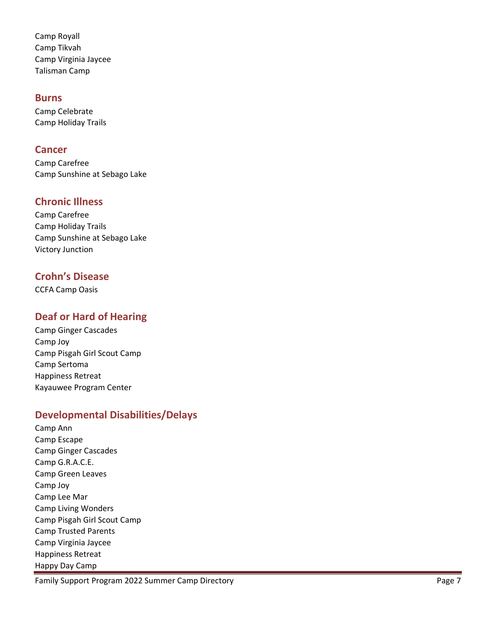Camp Royall Camp Tikvah Camp Virginia Jaycee Talisman Camp

### **Burns**

Camp Celebrate Camp Holiday Trails

### **Cancer**

Camp Carefree Camp Sunshine at Sebago Lake

## **Chronic Illness**

Camp Carefree Camp Holiday Trails Camp Sunshine at Sebago Lake Victory Junction

## **Crohn's Disease**

CCFA Camp Oasis

## **Deaf or Hard of Hearing**

Camp Ginger Cascades Camp Joy Camp Pisgah Girl Scout Camp Camp Sertoma Happiness Retreat Kayauwee Program Center

## **Developmental Disabilities/Delays**

Camp Ann Camp Escape Camp Ginger Cascades Camp G.R.A.C.E. Camp Green Leaves Camp Joy Camp Lee Mar Camp Living Wonders Camp Pisgah Girl Scout Camp Camp Trusted Parents Camp Virginia Jaycee Happiness Retreat Happy Day Camp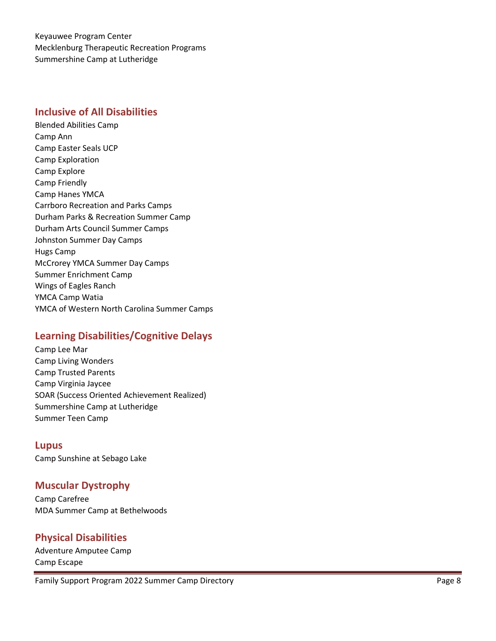Keyauwee Program Center Mecklenburg Therapeutic Recreation Programs Summershine Camp at Lutheridge

### **Inclusive of All Disabilities**

Blended Abilities Camp Camp Ann Camp Easter Seals UCP Camp Exploration Camp Explore Camp Friendly Camp Hanes YMCA Carrboro Recreation and Parks Camps Durham Parks & Recreation Summer Camp Durham Arts Council Summer Camps Johnston Summer Day Camps Hugs Camp McCrorey YMCA Summer Day Camps Summer Enrichment Camp Wings of Eagles Ranch YMCA Camp Watia YMCA of Western North Carolina Summer Camps

## **Learning Disabilities/Cognitive Delays**

Camp Lee Mar Camp Living Wonders Camp Trusted Parents Camp Virginia Jaycee SOAR (Success Oriented Achievement Realized) Summershine Camp at Lutheridge Summer Teen Camp

**Lupus**  Camp Sunshine at Sebago Lake

## **Muscular Dystrophy**

Camp Carefree MDA Summer Camp at Bethelwoods

## **Physical Disabilities**

Adventure Amputee Camp Camp Escape

Family Support Program 2022 Summer Camp Directory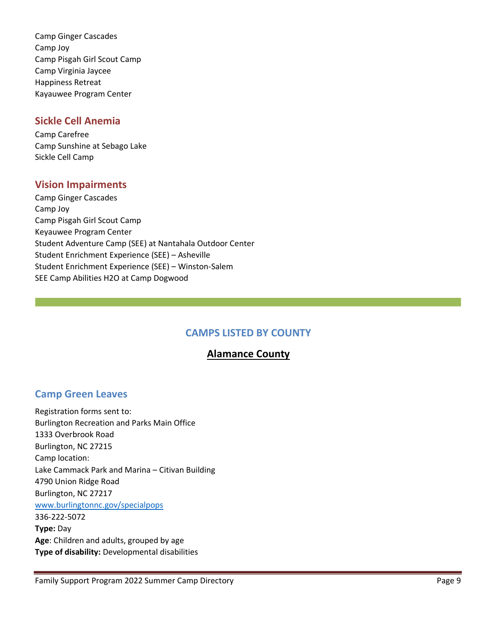Camp Ginger Cascades Camp Joy Camp Pisgah Girl Scout Camp Camp Virginia Jaycee Happiness Retreat Kayauwee Program Center

### **Sickle Cell Anemia**

Camp Carefree Camp Sunshine at Sebago Lake Sickle Cell Camp

## **Vision Impairments**

Camp Ginger Cascades Camp Joy Camp Pisgah Girl Scout Camp Keyauwee Program Center Student Adventure Camp (SEE) at Nantahala Outdoor Center Student Enrichment Experience (SEE) – Asheville Student Enrichment Experience (SEE) – Winston-Salem SEE Camp Abilities H2O at Camp Dogwood

## **CAMPS LISTED BY COUNTY**

## **Alamance County**

## **Camp Green Leaves**

Registration forms sent to: Burlington Recreation and Parks Main Office 1333 Overbrook Road Burlington, NC 27215 Camp location: Lake Cammack Park and Marina – Citivan Building 4790 Union Ridge Road Burlington, NC 27217 [www.burlingtonnc.gov/specialpops](http://www.burlingtonnc.gov/specialpops) 336-222-5072 **Type:** Day **Age**: Children and adults, grouped by age **Type of disability:** Developmental disabilities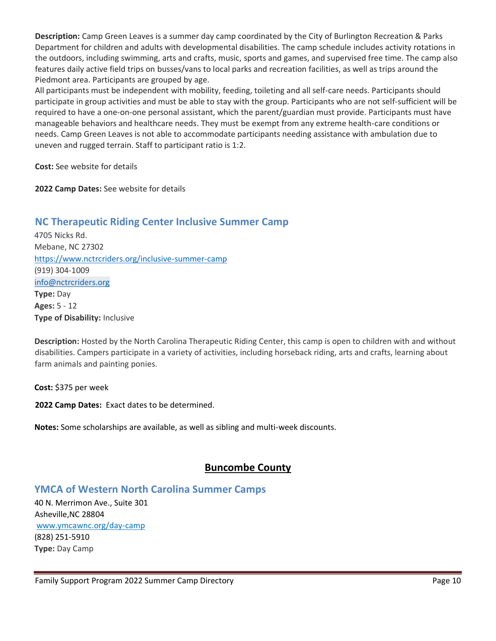**Description:** Camp Green Leaves is a summer day camp coordinated by the City of Burlington Recreation & Parks Department for children and adults with developmental disabilities. The camp schedule includes activity rotations in the outdoors, including swimming, arts and crafts, music, sports and games, and supervised free time. The camp also features daily active field trips on busses/vans to local parks and recreation facilities, as well as trips around the Piedmont area. Participants are grouped by age.

All participants must be independent with mobility, feeding, toileting and all self-care needs. Participants should participate in group activities and must be able to stay with the group. Participants who are not self-sufficient will be required to have a one-on-one personal assistant, which the parent/guardian must provide. Participants must have manageable behaviors and healthcare needs. They must be exempt from any extreme health-care conditions or needs. Camp Green Leaves is not able to accommodate participants needing assistance with ambulation due to uneven and rugged terrain. Staff to participant ratio is 1:2.

**Cost:** See website for details

**2022 Camp Dates:** See website for details

## **NC Therapeutic Riding Center Inclusive Summer Camp**

4705 Nicks Rd. Mebane, NC 27302 <https://www.nctrcriders.org/inclusive-summer-camp> (919) 304-1009 [info@nctrcriders.org](mailto:info@nctrcriders.org) **Type:** Day **Ages:** 5 - 12 **Type of Disability:** Inclusive

**Description:** Hosted by the North Carolina Therapeutic Riding Center, this camp is open to children with and without disabilities. Campers participate in a variety of activities, including horseback riding, arts and crafts, learning about farm animals and painting ponies.

**Cost:** \$375 per week

**2022 Camp Dates:** Exact dates to be determined.

**Notes:** Some scholarships are available, as well as sibling and multi-week discounts.

## **Buncombe County**

### **YMCA of Western North Carolina Summer Camps**

[40 N. Merrimon Ave., Suite 301](https://maps.google.com/?q=40+N.+Merrimon+Ave.,+Suite+301+%0D+Asheville,+NC%C2%A028804&entry=gmail&source=g) [Asheville,NC](https://maps.google.com/?q=40+N.+Merrimon+Ave.,+Suite+301+%0D+Asheville,+NC%C2%A028804&entry=gmail&source=g) [28804](https://maps.google.com/?q=40+N.+Merrimon+Ave.,+Suite+301+%0D+Asheville,+NC%C2%A028804&entry=gmail&source=g) [www.ymcawnc.org/day-camp](https://www.ymcawnc.org/programs/camps/summer-day-camps) (828) 251-5910 **Type:** Day Camp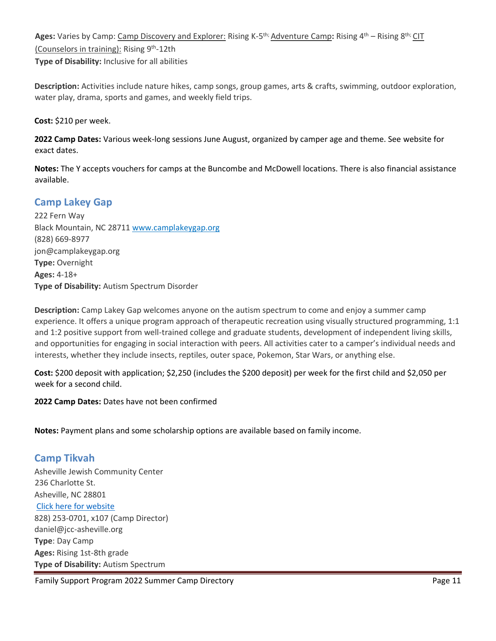**Ages:** Varies by Camp: <u>Camp Discovery and Explorer:</u> Rising K-5<sup>th;</sup> Adventure Camp: Rising 4<sup>th</sup> – Rising 8<sup>th;</sup> CIT (Counselors in training): Rising 9<sup>th</sup>-12th

**Type of Disability:** Inclusive for all abilities

**Description:** Activities include nature hikes, camp songs, group games, arts & crafts, swimming, outdoor exploration, water play, drama, sports and games, and weekly field trips.

**Cost:** \$210 per week.

**2022 Camp Dates:** Various week-long sessions June August, organized by camper age and theme. See website for exact dates.

**Notes:** The Y accepts vouchers for camps at the Buncombe and McDowell locations. There is also financial assistance available.

## **Camp Lakey Gap**

222 Fern Way Black Mountain, NC 28711 [www.camplakeygap.org](http://www.camplakeygap.org/) (828) 669-8977 jon@camplakeygap.org **Type:** Overnight **Ages:** 4-18+ **Type of Disability:** Autism Spectrum Disorder

**Description:** Camp Lakey Gap welcomes anyone on the autism spectrum to come and enjoy a summer camp experience. It offers a unique program approach of therapeutic recreation using visually structured programming, 1:1 and 1:2 positive support from well-trained college and graduate students, development of independent living skills, and opportunities for engaging in social interaction with peers. All activities cater to a camper's individual needs and interests, whether they include insects, reptiles, outer space, Pokemon, Star Wars, or anything else.

**Cost:** \$200 deposit with application; \$2,250 (includes the \$200 deposit) per week for the first child and \$2,050 per week for a second child.

**2022 Camp Dates:** Dates have not been confirmed

**Notes:** Payment plans and some scholarship options are available based on family income.

## **Camp Tikvah**

Asheville Jewish Community Center 236 Charlotte St. Asheville, NC 28801 [Click here for website](https://www.jcc-asheville.org/youth/camp-ruach/camp-tikvah-for-children-with-autism/) 828) 253-0701, x107 (Camp Director) daniel@jcc-asheville.org **Type**: Day Camp **Ages:** Rising 1st-8th grade **Type of Disability:** Autism Spectrum

Family Support Program 2022 Summer Camp Directory **Page 11** November 2022 11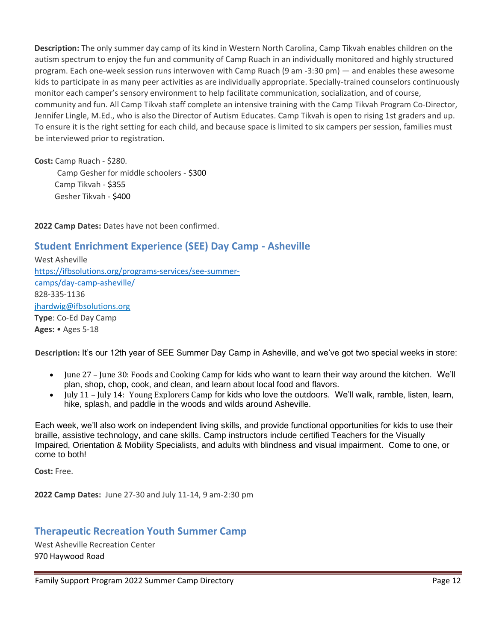**Description:** The only summer day camp of its kind in Western North Carolina, Camp Tikvah enables children on the autism spectrum to enjoy the fun and community of Camp Ruach in an individually monitored and highly structured program. Each one-week session runs interwoven with Camp Ruach (9 am -3:30 pm) — and enables these awesome kids to participate in as many peer activities as are individually appropriate. Specially-trained counselors continuously monitor each camper's sensory environment to help facilitate communication, socialization, and of course, community and fun. All Camp Tikvah staff complete an intensive training with the Camp Tikvah Program Co-Director, Jennifer Lingle, M.Ed., who is also the Director of [Autism Educates.](http://www.autismeducates.com/) Camp Tikvah is open to rising 1st graders and up. To ensure it is the right setting for each child, and because space is limited to six campers per session, families must be interviewed prior to registration.

**Cost:** Camp Ruach - \$280. Camp Gesher for middle schoolers - \$300 Camp Tikvah - \$355 Gesher Tikvah - \$400

**2022 Camp Dates:** Dates have not been confirmed.

## **Student Enrichment Experience (SEE) Day Camp - Asheville**

West Asheville [https://ifbsolutions.org/programs-services/see-summer](https://ifbsolutions.org/programs-services/see-summer-camps/day-camp-asheville/)[camps/day-camp-asheville/](https://ifbsolutions.org/programs-services/see-summer-camps/day-camp-asheville/) 828-335-1136 jhardwig@ifbsolutions.org **Type**: Co-Ed Day Camp **Ages:** • Ages 5-18

**Description:** It's our 12th year of SEE Summer Day Camp in Asheville, and we've got two special weeks in store:

- June 27 June 30: Foods and Cooking Camp for kids who want to learn their way around the kitchen. We'll plan, shop, chop, cook, and clean, and learn about local food and flavors.
- July 11 July 14: Young Explorers Camp for kids who love the outdoors. We'll walk, ramble, listen, learn, hike, splash, and paddle in the woods and wilds around Asheville.

Each week, we'll also work on independent living skills, and provide functional opportunities for kids to use their braille, assistive technology, and cane skills. Camp instructors include certified Teachers for the Visually Impaired, Orientation & Mobility Specialists, and adults with blindness and visual impairment. Come to one, or come to both!

**Cost:** Free.

**2022 Camp Dates:** June 27-30 and July 11-14, 9 am-2:30 pm

## **Therapeutic Recreation Youth Summer Camp**

West Asheville Recreation Center [970 Haywood Road](https://maps.google.com/?q=970+Haywood+Road+%0D+Asheville,+NC*%C2%A0*28802&entry=gmail&source=g)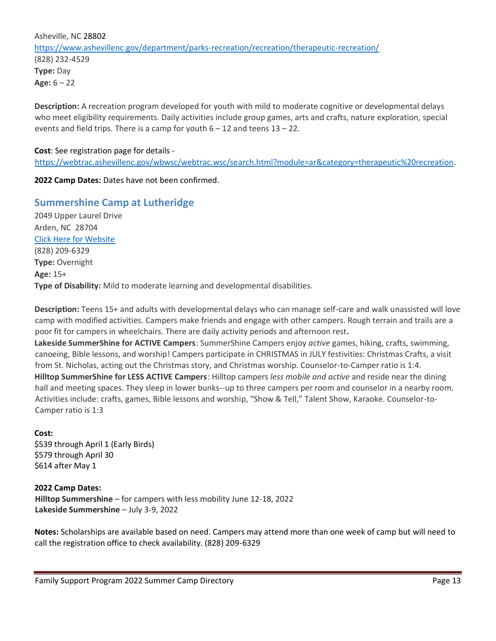Asheville, N[C](https://maps.google.com/?q=970+Haywood+Road+%0D+Asheville,+NC*%C2%A0*28802&entry=gmail&source=g) [28802](https://maps.google.com/?q=970+Haywood+Road+%0D+Asheville,+NC*%C2%A0*28802&entry=gmail&source=g) <https://www.ashevillenc.gov/department/parks-recreation/recreation/therapeutic-recreation/> (828) 232-4529 **Type:** Day **Age:** 6 – 22

**Description:** A recreation program developed for youth with mild to moderate cognitive or developmental delays who meet eligibility requirements. Daily activities include group games, arts and crafts, nature exploration, special events and field trips. There is a camp for youth 6 – 12 and teens 13 – 22.

#### **Cost**: See registration page for details -

[https://webtrac.ashevillenc.gov/wbwsc/webtrac.wsc/search.html?module=ar&category=therapeutic%20recreation.](https://webtrac.ashevillenc.gov/wbwsc/webtrac.wsc/search.html?module=ar&category=therapeutic%20recreation)

**2022 Camp Dates:** Dates have not been confirmed.

### **Summershine Camp at Lutheridge**

2049 Upper Laurel Drive Arden, NC28704 [Click Here for Website](https://lutheridge.org/summer_camps/summershine-hilltop-lakeside/) (828) 209-6329 **Type:** Overnight **Age:** 15+ **Type of Disability:** Mild to moderate learning and developmental disabilities.

**Description:** Teens 15+ and adults with developmental delays who can manage self-care and walk unassisted will love camp with modified activities. Campers make friends and engage with other campers. Rough terrain and trails are a poor fit for campers in wheelchairs. There are daily activity periods and afternoon rest**.** 

**Lakeside SummerShine for ACTIVE Campers**: SummerShine Campers enjoy *active* games, hiking, crafts, swimming, canoeing, Bible lessons, and worship! Campers participate in CHRISTMAS in JULY festivities: Christmas Crafts, a visit from St. Nicholas, acting out the Christmas story, and Christmas worship. Counselor-to-Camper ratio is 1:4. **Hilltop SummerShine for LESS ACTIVE Campers**: Hilltop campers *less mobile and active* and reside near the dining hall and meeting spaces. They sleep in lower bunks--up to three campers per room and counselor in a nearby room. Activities include: crafts, games, Bible lessons and worship, "Show & Tell," Talent Show, Karaoke. Counselor-to-Camper ratio is 1:3

#### **Cost:**

\$539 through April 1 (Early Birds) \$579 through April 30 \$614 after May 1

#### **2022 Camp Dates:**

**Hilltop Summershine** – for campers with less mobility June 12-18, 2022 **Lakeside Summershine** – July 3-9, 2022

**Notes:** Scholarships are available based on need. Campers may attend more than one week of camp but will need to call the registration office to check availability. (828) 209-6329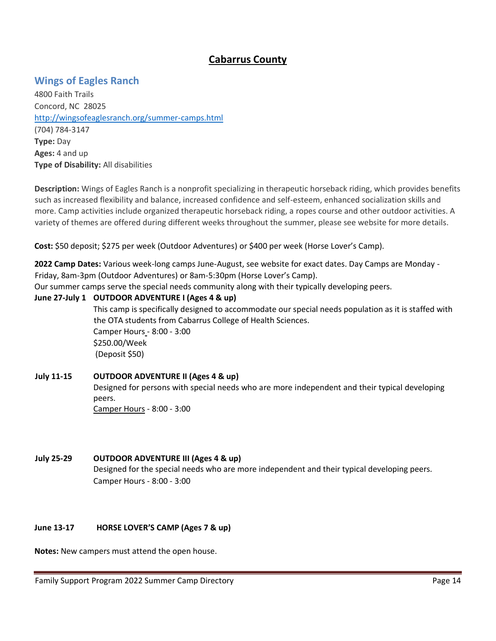## **Cabarrus County**

## **Wings of Eagles Ranch**

4800 Faith Trails Concord, NC28025 <http://wingsofeaglesranch.org/summer-camps.html> (704) 784-3147 **Type:** Day **Ages:** 4 and up **Type of Disability:** All disabilities

**Description:** Wings of Eagles Ranch is a nonprofit specializing in therapeutic horseback riding, which provides benefits such as increased flexibility and balance, increased confidence and self-esteem, enhanced socialization skills and more. Camp activities include organized therapeutic horseback riding, a ropes course and other outdoor activities. A variety of themes are offered during different weeks throughout the summer, please see website for more details.

**Cost:** \$50 deposit; \$275 per week (Outdoor Adventures) or \$400 per week (Horse Lover's Camp).

**2022 Camp Dates:** Various week-long camps June-August, see website for exact dates. Day Camps are Monday - Friday, 8am-3pm (Outdoor Adventures) or 8am-5:30pm (Horse Lover's Camp).

Our summer camps serve the special needs community along with their typically developing peers.

#### **June 27-July 1 [OUTDOOR ADVENTURE I \(Ages 4 & up\)](http://www.signupgenius.com/go/30e044da5ae2ba6fa7-outdoor)**

This camp is specifically designed to accommodate our special needs population as it is staffed with the OTA students from Cabarrus College of Health Sciences. Camper Hours - 8:00 - 3:00 \$250.00/Week (Deposit \$50)

#### **July 11-15 OUTDOOR ADVENTURE II (Ages 4 & up)**

Designed for persons with special needs who are more independent and their typical developing peers. Camper Hours - 8:00 - 3:00

#### **July 25-29 OUTDOOR ADVENTURE III (Ages 4 & up)**

Designed for the special needs who are more independent and their typical developing peers. Camper Hours - 8:00 - 3:00

#### **June 13-17 [HORSE LOVER'S CAMP \(Ages 7 & up\)](http://www.signupgenius.com/go/30e044da5ae2ba6fa7-horse)**

**Notes:** New campers must attend the open house.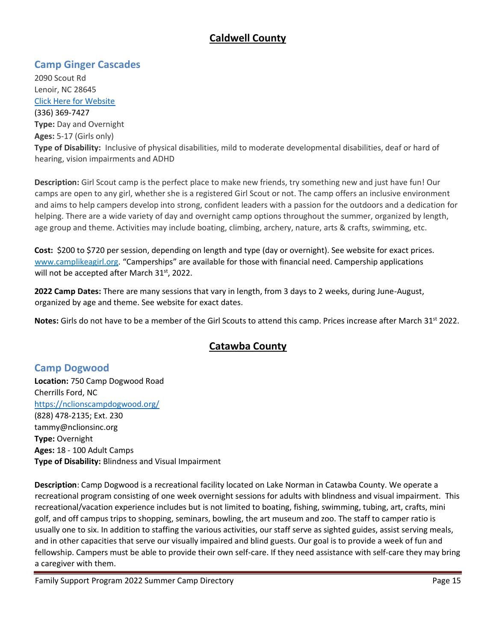## **Caldwell County**

## **Camp Ginger Cascades**

2090 Scout Rd Lenoir, NC 28645 [Click Here for Website](file:///C:/Users/powelllm/AppData/Local/Microsoft/Windows/INetCache/Content.Outlook/ZO38871Q/camplikeagirl.org) (336) 369-7427 **Type:** Day and Overnight **Ages:** 5-17 (Girls only) **Type of Disability:** Inclusive of physical disabilities, mild to moderate developmental disabilities, deaf or hard of hearing, vision impairments and ADHD

**Description:** Girl Scout camp is the perfect place to make new friends, try something new and just have fun! Our camps are open to any girl, whether she is a registered Girl Scout or not. The camp offers an inclusive environment and aims to help campers develop into strong, confident leaders with a passion for the outdoors and a dedication for helping. There are a wide variety of day and overnight camp options throughout the summer, organized by length, age group and theme. Activities may include boating, climbing, archery, nature, arts & crafts, swimming, etc.

**Cost:** \$200 to \$720 per session, depending on length and type (day or overnight). See website for exact prices[.](http://www.camplikeagirl.org/) [www.camplikeagirl.org.](http://www.camplikeagirl.org/) "Camperships" are available for those with financial need. Campership applications will not be accepted after March 31<sup>st</sup>, 2022.

**2022 Camp Dates:** There are many sessions that vary in length, from 3 days to 2 weeks, during June-August, organized by age and theme. See website for exact dates.

Notes: Girls do not have to be a member of the Girl Scouts to attend this camp. Prices increase after March 31<sup>st</sup> 2022.

# **Catawba County**

## **Camp Dogwood**

**Location:** 750 Camp Dogwood Road Cherrills Ford, NC <https://nclionscampdogwood.org/> (828) 478-2135; Ext. 230 tammy@nclionsinc.org **Type:** Overnight **Ages:** 18 - 100 Adult Camps **Type of Disability:** Blindness and Visual Impairment

**Description**: Camp Dogwood is a recreational facility located on Lake Norman in Catawba County. We operate a recreational program consisting of one week overnight sessions for adults with blindness and visual impairment. This recreational/vacation experience includes but is not limited to boating, fishing, swimming, tubing, art, crafts, mini golf, and off campus trips to shopping, seminars, bowling, the art museum and zoo. The staff to camper ratio is usually one to six. In addition to staffing the various activities, our staff serve as sighted guides, assist serving meals, and in other capacities that serve our visually impaired and blind guests. Our goal is to provide a week of fun and fellowship. Campers must be able to provide their own self-care. If they need assistance with self-care they may bring a caregiver with them.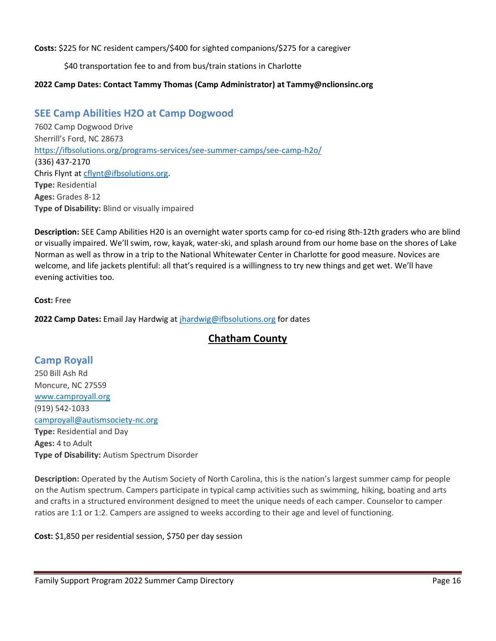**Costs:** \$225 for NC resident campers/\$400 for sighted companions/\$275 for a caregiver

\$40 transportation fee to and from bus/train stations in Charlotte

### **2022 Camp Dates: Contact Tammy Thomas (Camp Administrator) at Tammy@nclionsinc.org**

## **SEE Camp Abilities H2O at Camp Dogwood**

7602 Camp Dogwood Drive Sherrill's Ford, NC 28673 <https://ifbsolutions.org/programs-services/see-summer-camps/see-camp-h2o/> (336) 437-2170 Chris Flynt at [cflynt@ifbsolutions.org.](mailto:cflynt@ifbsolutions.org) **Type:** Residential **Ages:** Grades 8-12 **Type of Disability:** Blind or visually impaired

**Description:** SEE Camp Abilities H20 is an overnight water sports camp for co-ed rising 8th-12th graders who are blind or visually impaired. We'll swim, row, kayak, water-ski, and splash around from our home base on the shores of Lake Norman as well as throw in a trip to the National Whitewater Center in Charlotte for good measure. Novices are welcome, and life jackets plentiful: all that's required is a willingness to try new things and get wet. We'll have evening activities too.

**Cost:** Free

**2022 Camp Dates:** Email Jay Hardwig at [jhardwig@ifbsolutions.org](mailto:jhardwig@ifbsolutions.org) for dates

## **Chatham County**

## **Camp Royall**

250 Bill Ash Rd Moncure, NC 27559 [www.camproyall.org](http://www.camproyall.org/) (919) 542-1033 [camproyall@autismsociety-nc.org](mailto:camproyall@autismsociety-nc.org) **Type:** Residential and Day **Ages:** 4 to Adult **Type of Disability:** Autism Spectrum Disorder

**Description:** Operated by the Autism Society of North Carolina, this is the nation's largest summer camp for people on the Autism spectrum. Campers participate in typical camp activities such as swimming, hiking, boating and arts and crafts in a structured environment designed to meet the unique needs of each camper. Counselor to camper ratios are 1:1 or 1:2. Campers are assigned to weeks according to their age and level of functioning.

**Cost:** \$1,850 per residential session, \$750 per day session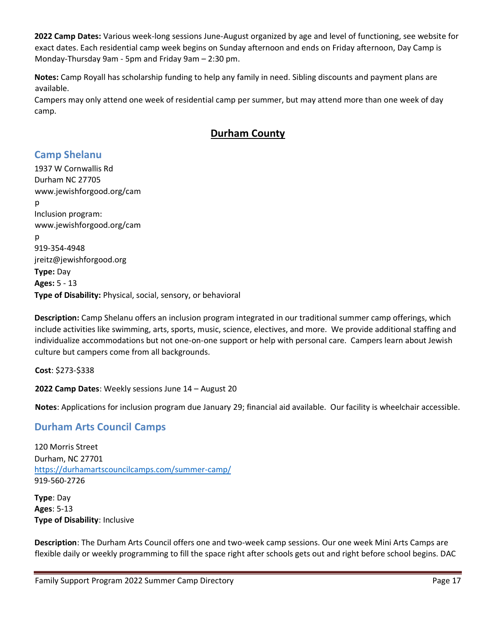**2022 Camp Dates:** Various week-long sessions June-August organized by age and level of functioning, see website for exact dates. Each residential camp week begins on Sunday afternoon and ends on Friday afternoon, Day Camp is Monday-Thursday 9am - 5pm and Friday 9am – 2:30 pm.

**Notes:** Camp Royall has scholarship funding to help any family in need. Sibling discounts and payment plans are available.

Campers may only attend one week of residential camp per summer, but may attend more than one week of day camp.

# **Durham County**

## **Camp Shelanu**

[1937 W Cornwallis Rd](https://maps.google.com/?q=1937+W+Cornwallis+Rd%0D+%0D+Durham+NC+27705&entry=gmail&source=g) [Durham NC 27705](https://maps.google.com/?q=1937+W+Cornwallis+Rd%0D+%0D+Durham+NC+27705&entry=gmail&source=g) www.jewishforgood.org/cam p Inclusion program: www.jewishforgood.org/cam p 919-354-4948 jreitz@jewishforgood.org **Type:** Day **Ages:** 5 - 13 **Type of Disability:** Physical, social, sensory, or behavioral

**Description:** Camp Shelanu offers an inclusion program integrated in our traditional summer camp offerings, which include activities like swimming, arts, sports, music, science, electives, and more. We provide additional staffing and individualize accommodations but not one-on-one support or help with personal care. Campers learn about Jewish culture but campers come from all backgrounds.

**Cost**: \$273-\$338

**2022 Camp Dates**: Weekly sessions June 14 – August 20

**Notes**: Applications for inclusion program due January 29; financial aid available. Our facility is wheelchair accessible.

## **Durham Arts Council Camps**

120 Morris Street Durham, NC 27701 <https://durhamartscouncilcamps.com/summer-camp/> 919-560-2726

**Type**: Day **Ages**: 5-13 **Type of Disability**: Inclusive

**Description**: The Durham Arts Council offers one and two-week camp sessions. Our one week Mini Arts Camps are flexible daily or weekly programming to fill the space right after schools gets out and right before school begins. DAC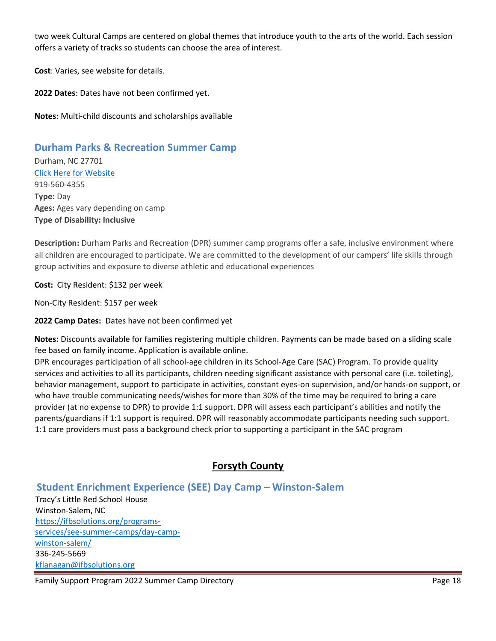two week Cultural Camps are centered on global themes that introduce youth to the arts of the world. Each session offers a variety of tracks so students can choose the area of interest.

**Cost**: Varies, see website for details.

**2022 Dates**: Dates have not been confirmed yet.

**Notes**: Multi-child discounts and scholarships available

## **Durham Parks & Recreation Summer Camp**

Durham, NC 27701 [Click Here for Website](https://www.dprplaymore.org/366/Summer-Camp) 919-560-4355 **Type:** Day **Ages:** Ages vary depending on camp **Type of Disability: Inclusive** 

**Description:** Durham Parks and Recreation (DPR) summer camp programs offer a safe, inclusive environment where all children are encouraged to participate. We are committed to the development of our campers' life skills through group activities and exposure to diverse athletic and educational experiences

**Cost:** City Resident: \$132 per week

Non-City Resident: \$157 per week

**2022 Camp Dates:** Dates have not been confirmed yet

**Notes:** Discounts available for families registering multiple children. Payments can be made based on a sliding scale fee based on family income. Application is available online.

DPR encourages participation of all school-age children in its School-Age Care (SAC) Program. To provide quality services and activities to all its participants, children needing significant assistance with personal care (i.e. toileting), behavior management, support to participate in activities, constant eyes-on supervision, and/or hands-on support, or who have trouble communicating needs/wishes for more than 30% of the time may be required to bring a care provider (at no expense to DPR) to provide 1:1 support. DPR will assess each participant's abilities and notify the parents/guardians if 1:1 support is required. DPR will reasonably accommodate participants needing such support. 1:1 care providers must pass a background check prior to supporting a participant in the SAC program

## **Forsyth County**

## **Student Enrichment Experience (SEE) Day Camp – Winston-Salem**

Tracy's Little Red School House Winston-Salem, NC [https://ifbsolutions.org/programs](https://nam10.safelinks.protection.outlook.com/?url=https%3A%2F%2Fifbsolutions.org%2Fprograms-services%2Fsee-summer-camps%2Fday-camp-winston-salem%2F&data=04%7C01%7Ckflanagan%40ifbsolutions.org%7C5e415a402ee34349099c08d89ac4e588%7Cc4c306491f0e4498a21e1a065f4e8d1c%7C0%7C1%7C637429518036557419%7CUnknown%7CTWFpbGZsb3d8eyJWIjoiMC4wLjAwMDAiLCJQIjoiV2luMzIiLCJBTiI6Ik1haWwiLCJXVCI6Mn0%3D%7C3000&sdata=I2uRbTuJm%2ByjkK%2FjFtkoT%2Bm3MVSdczcvo%2B%2FYMvcAJc8%3D&reserved=0)[services/see-summer-camps/day-camp](https://nam10.safelinks.protection.outlook.com/?url=https%3A%2F%2Fifbsolutions.org%2Fprograms-services%2Fsee-summer-camps%2Fday-camp-winston-salem%2F&data=04%7C01%7Ckflanagan%40ifbsolutions.org%7C5e415a402ee34349099c08d89ac4e588%7Cc4c306491f0e4498a21e1a065f4e8d1c%7C0%7C1%7C637429518036557419%7CUnknown%7CTWFpbGZsb3d8eyJWIjoiMC4wLjAwMDAiLCJQIjoiV2luMzIiLCJBTiI6Ik1haWwiLCJXVCI6Mn0%3D%7C3000&sdata=I2uRbTuJm%2ByjkK%2FjFtkoT%2Bm3MVSdczcvo%2B%2FYMvcAJc8%3D&reserved=0)[winston-salem/](https://nam10.safelinks.protection.outlook.com/?url=https%3A%2F%2Fifbsolutions.org%2Fprograms-services%2Fsee-summer-camps%2Fday-camp-winston-salem%2F&data=04%7C01%7Ckflanagan%40ifbsolutions.org%7C5e415a402ee34349099c08d89ac4e588%7Cc4c306491f0e4498a21e1a065f4e8d1c%7C0%7C1%7C637429518036557419%7CUnknown%7CTWFpbGZsb3d8eyJWIjoiMC4wLjAwMDAiLCJQIjoiV2luMzIiLCJBTiI6Ik1haWwiLCJXVCI6Mn0%3D%7C3000&sdata=I2uRbTuJm%2ByjkK%2FjFtkoT%2Bm3MVSdczcvo%2B%2FYMvcAJc8%3D&reserved=0) 336-245-5669 [kflanagan@ifbsolutions.org](mailto:kflanagan@ifbsolutions.org)

Family Support Program 2022 Summer Camp Directory **Page 18** Page 18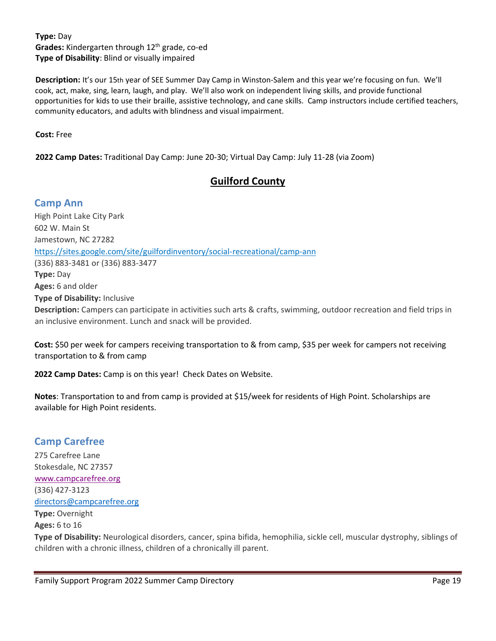**Type:** Day Grades: Kindergarten through 12<sup>th</sup> grade, co-ed **Type of Disability**: Blind or visually impaired

**Description:** It's our 15th year of SEE Summer Day Camp in Winston-Salem and this year we're focusing on fun. We'll cook, act, make, sing, learn, laugh, and play. We'll also work on independent living skills, and provide functional opportunities for kids to use their braille, assistive technology, and cane skills. Camp instructors include certified teachers, community educators, and adults with blindness and visual impairment.

**Cost:** Free

**2022 Camp Dates:** Traditional Day Camp: June 20-30; Virtual Day Camp: July 11-28 (via Zoom)

## **Guilford County**

### **Camp Ann**

High Point Lake City Park 602 W. Main St Jamestown, NC 27282 https://sites.google.com/site/guilfordinventory/social-recreational/camp-ann (336) 883-3481 or (336) 883-3477 **Type:** Day **Ages:** 6 and older **Type of Disability:** Inclusive **Description:** Campers can participate in activities such arts & crafts, swimming, outdoor recreation and field trips in an inclusive environment. Lunch and snack will be provided.

**Cost:** \$50 per week for campers receiving transportation to & from camp, \$35 per week for campers not receiving transportation to & from camp

**2022 Camp Dates:** Camp is on this year! Check Dates on Website.

**Notes**: Transportation to and from camp is provided at \$15/week for residents of High Point. Scholarships are available for High Point residents.

## **Camp Carefree**

275 Carefree Lane Stokesdale, NC 27357 [www.campcarefree.org](http://www.campcarefree.org/) (336) 427-3123 [directors@campcarefree.org](mailto:directors@campcarefree.org) **Type:** Overnight

**Ages:** 6 to 16

**Type of Disability:** Neurological disorders, cancer, spina bifida, hemophilia, sickle cell, muscular dystrophy, siblings of children with a chronic illness, children of a chronically ill parent.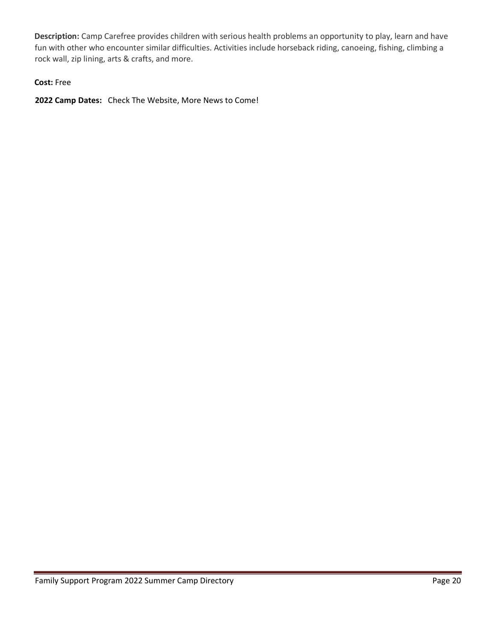**Description:** Camp Carefree provides children with serious health problems an opportunity to play, learn and have fun with other who encounter similar difficulties. Activities include horseback riding, canoeing, fishing, climbing a rock wall, zip lining, arts & crafts, and more.

#### **Cost:** Free

**2022 Camp Dates:** Check The Website, More News to Come!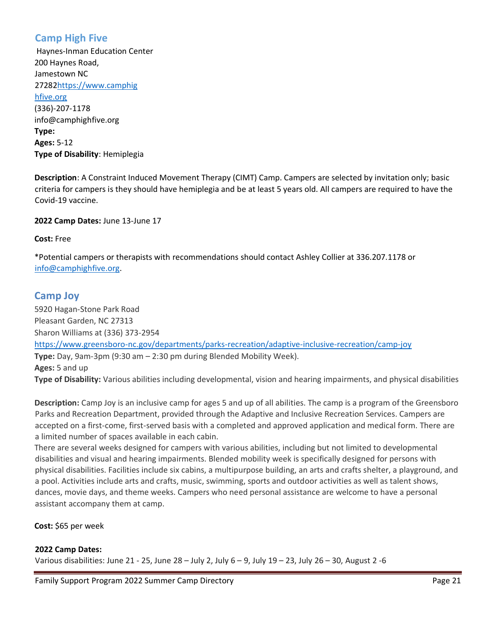## **Camp High Five**

Haynes-Inman Education Center 200 Haynes Road, Jamestown NC 2728[2https://www.camphig](https://www.camphighfive.org/) [hfive.org](https://www.camphighfive.org/) (336)-207-1178 info@camphighfive.org **Type: Ages:** 5-12 **Type of Disability**: Hemiplegia

**Description**: A Constraint Induced Movement Therapy (CIMT) Camp. Campers are selected by invitation only; basic criteria for campers is they should have hemiplegia and be at least 5 years old. All campers are required to have the Covid-19 vaccine.

**2022 Camp Dates:** June 13-June 17

**Cost:** Free

\*Potential campers or therapists with recommendations should contact Ashley Collier at 336.207.1178 or [info@camphighfive.org.](mailto:info@camphighfive.org)

### **Camp Joy**

5920 Hagan-Stone Park Road Pleasant Garden, NC 27313 Sharon Williams at (336) 373-2954 <https://www.greensboro-nc.gov/departments/parks-recreation/adaptive-inclusive-recreation/camp-joy> **Type:** Day, 9am-3pm (9:30 am – 2:30 pm during Blended Mobility Week). **Ages:** 5 and up **Type of Disability:** Various abilities including developmental, vision and hearing impairments, and physical disabilities

**Description:** Camp Joy is an inclusive camp for ages 5 and up of all abilities. The camp is a program of the Greensboro Parks and Recreation Department, provided through the Adaptive and Inclusive Recreation Services. Campers are accepted on a first-come, first-served basis with a completed and approved application and medical form. There are a limited number of spaces available in each cabin.

There are several weeks designed for campers with various abilities, including but not limited to developmental disabilities and visual and hearing impairments. Blended mobility week is specifically designed for persons with physical disabilities. Facilities include six cabins, a multipurpose building, an arts and crafts shelter, a playground, and a pool. Activities include arts and crafts, music, swimming, sports and outdoor activities as well as talent shows, dances, movie days, and theme weeks. Campers who need personal assistance are welcome to have a personal assistant accompany them at camp.

**Cost:** \$65 per week

#### **2022 Camp Dates:**

Various disabilities: June 21 - 25, June 28 – July 2, July 6 – 9, July 19 – 23, July 26 – 30, August 2 -6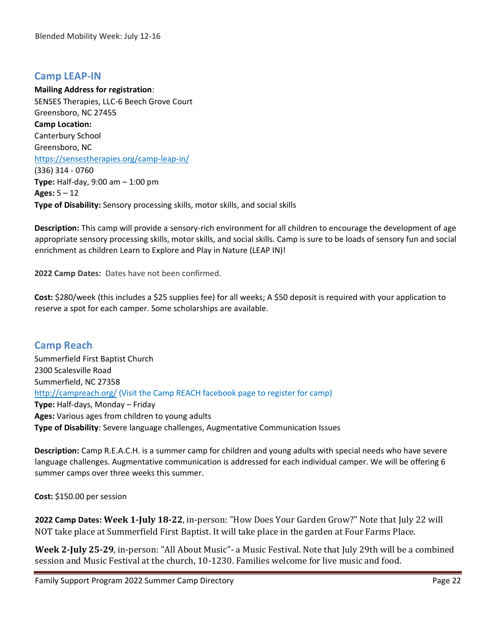## **Camp LEAP-IN**

**Mailing Address for registration**: SENSES Therapies, LLC-6 Beech Grove Court Greensboro, NC 27455 **Camp Location:** Canterbury School Greensboro, NC https://sensestherapies.org/camp-leap-in/ (336) 314 - 0760 **Type:** Half-day, 9:00 am – 1:00 pm **Ages:** 5 – 12 **Type of Disability:** Sensory processing skills, motor skills, and social skills

**Description:** This camp will provide a sensory-rich environment for all children to encourage the development of age appropriate sensory processing skills, motor skills, and social skills. Camp is sure to be loads of sensory fun and social enrichment as children Learn to Explore and Play in Nature (LEAP IN)!

**2022 Camp Dates:** Dates have not been confirmed.

**Cost:** \$280/week (this includes a \$25 supplies fee) for all weeks; A \$50 deposit is required with your application to reserve a spot for each camper. Some scholarships are available.

## **Camp Reach**

Summerfield First Baptist Church 2300 Scalesville Road Summerfield, NC 27358 <http://campreach.org/> (Visit the Camp REACH facebook page to register for camp) **Type:** Half-days, Monday – Friday **Ages:** Various ages from children to young adults **Type of Disability**: Severe language challenges, Augmentative Communication Issues

**Description:** Camp R.E.A.C.H. is a summer camp for children and young adults with special needs who have severe language challenges. Augmentative communication is addressed for each individual camper. We will be offering 6 summer camps over three weeks this summer.

**Cost:** \$150.00 per session

**2022 Camp Dates: Week 1-July 18-22**, in-person: "How Does Your Garden Grow?" Note that July 22 will NOT take place at Summerfield First Baptist. It will take place in the garden at Four Farms Place.

**Week 2-July 25-29**, in-person: "All About Music"- a Music Festival. Note that July 29th will be a combined session and Music Festival at the church, 10-1230. Families welcome for live music and food.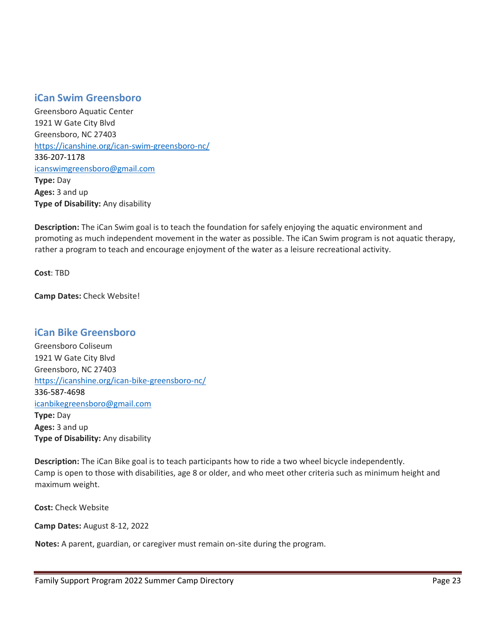### **iCan Swim Greensboro**

Greensboro Aquatic Center 1921 W Gate City Blvd Greensboro, NC 27403 <https://icanshine.org/ican-swim-greensboro-nc/> 336-207-1178 [icanswimgreensboro@gmail.com](mailto:icanswimgreensboro@gmail.com) **Type:** Day **Ages:** 3 and up **Type of Disability:** Any disability

**Description:** The iCan Swim goal is to teach the foundation for safely enjoying the aquatic environment and promoting as much independent movement in the water as possible. The iCan Swim program is not aquatic therapy, rather a program to teach and encourage enjoyment of the water as a leisure recreational activity.

**Cost**: TBD

**Camp Dates:** Check Website!

### **iCan Bike Greensboro**

Greensboro Coliseum 1921 W Gate City Blvd Greensboro, NC 27403 <https://icanshine.org/ican-bike-greensboro-nc/> 336-587-4698 [icanbikegreensboro@gmail.com](mailto:icanbikegreensboro@gmail.com) **Type:** Day **Ages:** 3 and up **Type of Disability:** Any disability

**Description:** The iCan Bike goal is to teach participants how to ride a two wheel bicycle independently. Camp is open to those with disabilities, age 8 or older, and who meet other criteria such as minimum height and maximum weight.

**Cost:** Check Website

**Camp Dates:** August 8-12, 2022

**Notes:** A parent, guardian, or caregiver must remain on-site during the program.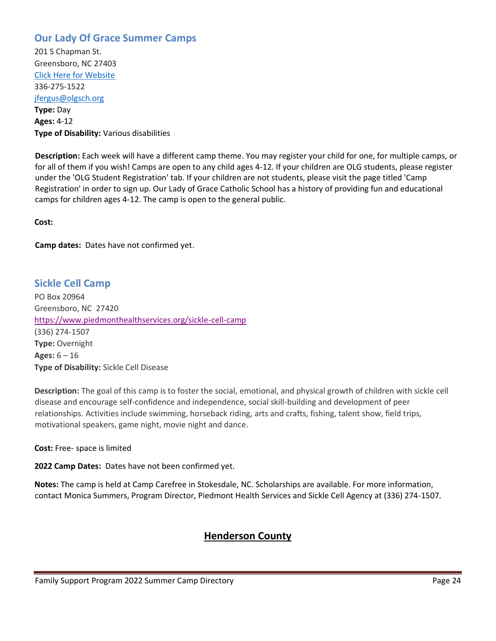## **Our Lady Of Grace Summer Camps**

201 S Chapman St. Greensboro, NC 27403 [Click Here for Website](https://sites.google.com/olgsch.org/olgsummer/) 336-275-1522 [jfergus@olgsch.org](mailto:jfergus@olgsch.org) **Type:** Day **Ages:** 4-12 **Type of Disability:** Various disabilities

**Description:** Each week will have a different camp theme. You may register your child for one, for multiple camps, or for all of them if you wish! Camps are open to any child ages 4-12. If your children are OLG students, please register under the 'OLG Student Registration' tab. If your children are not students, please visit the page titled 'Camp Registration' in order to sign up. Our Lady of Grace Catholic School has a history of providing fun and educational camps for children ages 4-12. The camp is open to the general public.

**Cost:** 

**Camp dates:** Dates have not confirmed yet.

## **Sickle Cell Camp**

PO Box 20964 Greensboro, NC27420 <https://www.piedmonthealthservices.org/sickle-cell-camp> (336) 274-1507 **Type:** Overnight **Ages:** 6 – 16 **Type of Disability:** Sickle Cell Disease

**Description:** The goal of this camp is to foster the social, emotional, and physical growth of children with sickle cell disease and encourage self-confidence and independence, social skill-building and development of peer relationships. Activities include swimming, horseback riding, arts and crafts, fishing, talent show, field trips, motivational speakers, game night, movie night and dance.

**Cost:** Free- space is limited

**2022 Camp Dates:** Dates have not been confirmed yet.

**Notes:** The camp is held at Camp Carefree in Stokesdale, NC. Scholarships are available. For more information, contact Monica Summers, Program Director, Piedmont Health Services and Sickle Cell Agency at (336) 274-1507.

## **Henderson County**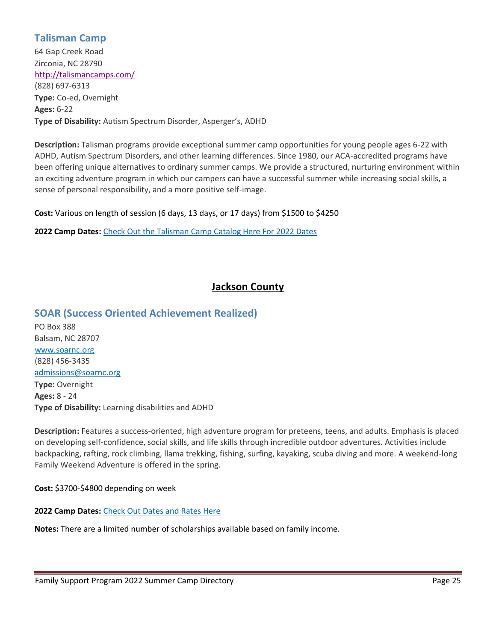## **Talisman Camp**

64 Gap Creek Road Zirconia, NC 28790 <http://talismancamps.com/> (828) 697-6313 **Type:** Co-ed, Overnight **Ages:** 6-22 **Type of Disability:** Autism Spectrum Disorder, Asperger's, ADHD

**Description:** Talisman programs provide exceptional summer camp opportunities for young people ages 6-22 with ADHD, Autism Spectrum Disorders, and other learning differences. Since 1980, our ACA-accredited programs have been offering unique alternatives to ordinary summer camps. We provide a structured, nurturing environment within an exciting adventure program in which our campers can have a successful summer while increasing social skills, a sense of personal responsibility, and a more positive self-image.

**Cost:** Various on length of session (6 days, 13 days, or 17 days) from \$1500 to \$4250

**2022 Camp Dates:** [Check Out the Talisman Camp Catalog Here For 2022 Dates](https://talismancamps.com/wp-content/uploads/2021/11/Talisman-Summer-Camp-Catalog.pdf)

## **Jackson County**

### **SOAR (Success Oriented Achievement Realized)**

PO Box 388 Balsam, NC 28707 [www.soarnc.org](http://www.soarnc.org/) (828) 456-3435 [admissions@soarnc.org](mailto:admissions@soarnc.org) **Type:** Overnight **Ages:** 8 - 24 **Type of Disability:** Learning disabilities and ADHD

**Description:** Features a success-oriented, high adventure program for preteens, teens, and adults. Emphasis is placed on developing self-confidence, social skills, and life skills through incredible outdoor adventures. Activities include backpacking, rafting, rock climbing, llama trekking, fishing, surfing, kayaking, scuba diving and more. A weekend-long Family Weekend Adventure is offered in the spring.

**Cost:** \$3700-\$4800 depending on week

**2022 Camp Dates:** [Check Out Dates and Rates Here](https://soarnc.org/dates-rates/)

**Notes:** There are a limited number of scholarships available based on family income.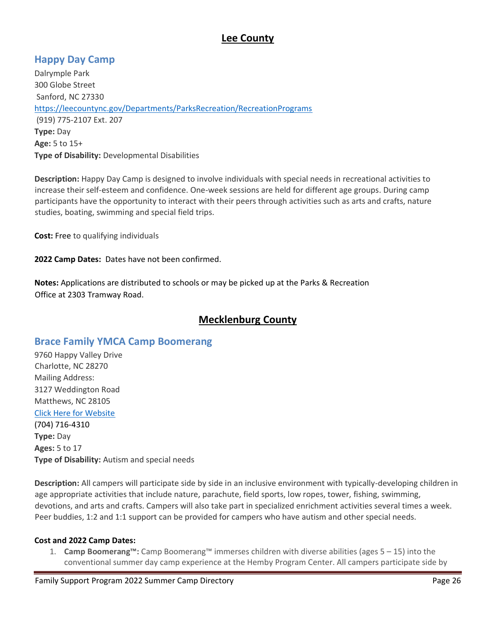## **Lee County**

## **Happy Day Camp**

Dalrymple Park 300 Globe Street Sanford, NC 27330 <https://leecountync.gov/Departments/ParksRecreation/RecreationPrograms> (919) 775-2107 Ext. 207 **Type:** Day **Age:** 5 to 15+ **Type of Disability:** Developmental Disabilities

**Description:** Happy Day Camp is designed to involve individuals with special needs in recreational activities to increase their self-esteem and confidence. One-week sessions are held for different age groups. During camp participants have the opportunity to interact with their peers through activities such as arts and crafts, nature studies, boating, swimming and special field trips.

**Cost:** Free to qualifying individuals

**2022 Camp Dates:** Dates have not been confirmed.

**Notes:** Applications are distributed to schools or may be picked up at the Parks & Recreation Office at 2303 Tramway Road.

## **Mecklenburg County**

## **Brace Family YMCA Camp Boomerang**

9760 Happy Valley Drive Charlotte, NC 28270 Mailing Address: 3127 Weddington Road Matthews, NC 28105 [Click Here for Website](https://www.ymcacharlotte.org/programs/accessible/camp-boomerang) (704) 716-4310 **Type:** Day **Ages:** 5 to 17 **Type of Disability:** Autism and special needs

**Description:** All campers will participate side by side in an inclusive environment with typically-developing children in age appropriate activities that include nature, parachute, field sports, low ropes, tower, fishing, swimming, devotions, and arts and crafts. Campers will also take part in specialized enrichment activities several times a week. Peer buddies, 1:2 and 1:1 support can be provided for campers who have autism and other special needs.

#### **Cost and 2022 Camp Dates:**

1. **Camp Boomerang™:** Camp Boomerang™ immerses children with diverse abilities (ages 5 – 15) into the conventional summer day camp experience at the Hemby Program Center. All campers participate side by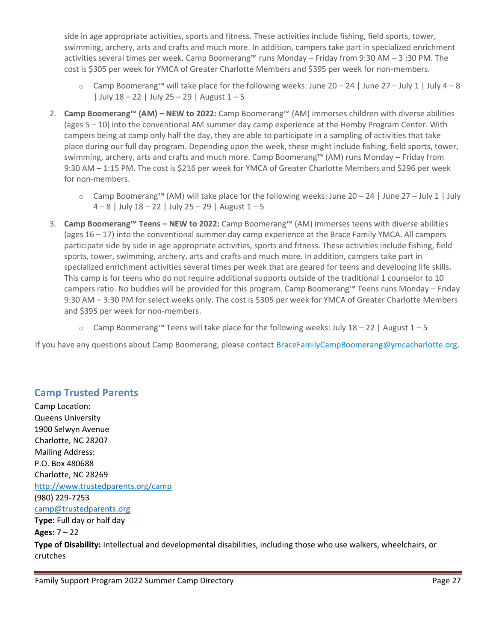side in age appropriate activities, sports and fitness. These activities include fishing, field sports, tower, swimming, archery, arts and crafts and much more. In addition, campers take part in specialized enrichment activities several times per week. Camp Boomerang™ runs Monday – Friday from 9:30 AM – 3 :30 PM. The cost is \$305 per week for YMCA of Greater Charlotte Members and \$395 per week for non-members.

- $\circ$  Camp Boomerang™ will take place for the following weeks: June 20 24 | June 27 July 1 | July 4 8 | July  $18 - 22$  | July  $25 - 29$  | August  $1 - 5$
- 2. **Camp Boomerang™ (AM) – NEW to 2022:** Camp Boomerang™ (AM) immerses children with diverse abilities (ages 5 – 10) into the conventional AM summer day camp experience at the Hemby Program Center. With campers being at camp only half the day, they are able to participate in a sampling of activities that take place during our full day program. Depending upon the week, these might include fishing, field sports, tower, swimming, archery, arts and crafts and much more. Camp Boomerang™ (AM) runs Monday – Friday from 9:30 AM – 1:15 PM. The cost is \$216 per week for YMCA of Greater Charlotte Members and \$296 per week for non-members.
	- o Camp Boomerang™ (AM) will take place for the following weeks: June 20 24 | June 27 July 1 | July  $4 - 8$  | July  $18 - 22$  | July  $25 - 29$  | August  $1 - 5$
- 3. **Camp Boomerang™ Teens – NEW to 2022:** Camp Boomerang™ (AM) immerses teens with diverse abilities (ages 16 – 17) into the conventional summer day camp experience at the Brace Family YMCA. All campers participate side by side in age appropriate activities, sports and fitness. These activities include fishing, field sports, tower, swimming, archery, arts and crafts and much more. In addition, campers take part in specialized enrichment activities several times per week that are geared for teens and developing life skills. This camp is for teens who do not require additional supports outside of the traditional 1 counselor to 10 campers ratio. No buddies will be provided for this program. Camp Boomerang™ Teens runs Monday – Friday 9:30 AM – 3:30 PM for select weeks only. The cost is \$305 per week for YMCA of Greater Charlotte Members and \$395 per week for non-members.
	- $\circ$  Camp Boomerang™ Teens will take place for the following weeks: July 18 22 | August 1 5

If you have any questions about Camp Boomerang, please contact [BraceFamilyCampBoomerang@ymcacharlotte.org.](mailto:%20BraceFamilyCampBoomerang@ymcacharlotte.org)

### **Camp Trusted Parents**

crutches

Camp Location: Queens University 1900 Selwyn Avenue Charlotte, NC 28207 Mailing Address: P.O. Box 480688 Charlotte, NC 28269 <http://www.trustedparents.org/camp> (980) 229-7253 [camp@trustedparents.org](mailto:camp@trustedparents.org) **Type:** Full day or half day **Ages:** 7 – 22 **Type of Disability:** Intellectual and developmental disabilities, including those who use walkers, wheelchairs, or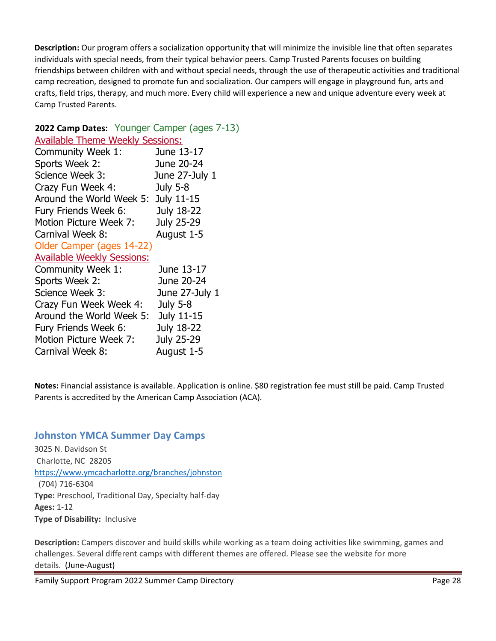**Description:** Our program offers a socialization opportunity that will minimize the invisible line that often separates individuals with special needs, from their typical behavior peers. Camp Trusted Parents focuses on building friendships between children with and without special needs, through the use of therapeutic activities and traditional camp recreation, designed to promote fun and socialization. Our campers will engage in playground fun, arts and crafts, field trips, therapy, and much more. Every child will experience a new and unique adventure every week at Camp Trusted Parents.

### **2022 Camp Dates:** Younger Camper (ages 7-13)

| <b>Available Theme Weekly Sessions:</b> |                   |
|-----------------------------------------|-------------------|
| Community Week 1:                       | June 13-17        |
| Sports Week 2:                          | June 20-24        |
| Science Week 3:                         | June 27-July 1    |
| Crazy Fun Week 4:                       | <b>July 5-8</b>   |
| Around the World Week 5:                | July 11-15        |
| Fury Friends Week 6:                    | July 18-22        |
| Motion Picture Week 7:                  | <b>July 25-29</b> |
| Carnival Week 8:                        | August 1-5        |
| Older Camper (ages 14-22)               |                   |
| <b>Available Weekly Sessions:</b>       |                   |
| Community Week 1:                       | June 13-17        |
| Sports Week 2:                          | June 20-24        |
| Science Week 3:                         | June 27-July 1    |
| Crazy Fun Week Week 4:                  | July 5-8          |
| Around the World Week 5:                | July 11-15        |
| Fury Friends Week 6:                    | July 18-22        |
| Motion Picture Week 7:                  | July 25-29        |
| Carnival Week 8:                        | August 1-5        |
|                                         |                   |

**Notes:** Financial assistance is available. Application is online. \$80 registration fee must still be paid. Camp Trusted Parents is accredited by the American Camp Association (ACA).

## **Johnston YMCA Summer Day Camps**

3025 N. Davidson St Charlotte, NC28205 [https://www.ymcacharlotte.org/branches/johnston](https://www.ymcacharlotte.org/programs/day-camp?b=9) (704) 716-6304 **Type:** Preschool, Traditional Day, Specialty half-day **Ages:** 1-12 **Type of Disability:** Inclusive

**Description:** Campers discover and build skills while working as a team doing activities like swimming, games and challenges. Several different camps with different themes are offered. Please see the website for more details. (June-August)

Family Support Program 2022 Summer Camp Directory Page 28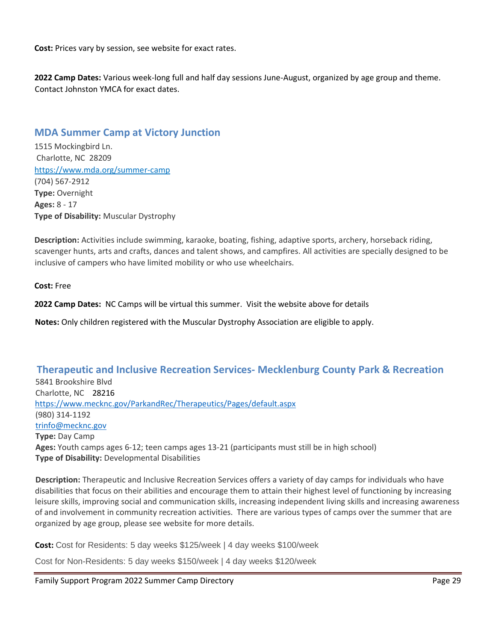**Cost:** Prices vary by session, see website for exact rates.

**2022 Camp Dates:** Various week-long full and half day sessions June-August, organized by age group and theme. Contact Johnston YMCA for exact dates.

### **MDA Summer Camp at Victory Junction**

1515 Mockingbird Ln. Charlotte, NC 28209 https://www.mda.org/summer-camp (704) 567-2912 **Type:** Overnight **Ages:** 8 - 17 **Type of Disability:** Muscular Dystrophy

**Description:** Activities include swimming, karaoke, boating, fishing, adaptive sports, archery, horseback riding, scavenger hunts, arts and crafts, dances and talent shows, and campfires. All activities are specially designed to be inclusive of campers who have limited mobility or who use wheelchairs.

**Cost:** Free

**2022 Camp Dates:** NC Camps will be virtual this summer. Visit the website above for details

**Notes:** Only children registered with the Muscular Dystrophy Association are eligible to apply.

### **Therapeutic and Inclusive Recreation Services- Mecklenburg County Park & Recreation** 5841 Brookshire Blvd Charlotte, NC 28216 <https://www.mecknc.gov/ParkandRec/Therapeutics/Pages/default.aspx> (980) 314-1192 [trinfo@mecknc.gov](mailto:trinfo@mecknc.gov) **Type:** Day Camp **Ages:** Youth camps ages 6-12; teen camps ages 13-21 (participants must still be in high school) **Type of Disability:** Developmental Disabilities

**Description:** Therapeutic and Inclusive Recreation Services offers a variety of day camps for individuals who have disabilities that focus on their abilities and encourage them to attain their highest level of functioning by increasing leisure skills, improving social and communication skills, increasing independent living skills and increasing awareness of and involvement in community recreation activities. There are various types of camps over the summer that are organized by age group, please see website for more details.

**Cost:** Cost for Residents: 5 day weeks \$125/week | 4 day weeks \$100/week

Cost for Non-Residents: 5 day weeks \$150/week | 4 day weeks \$120/week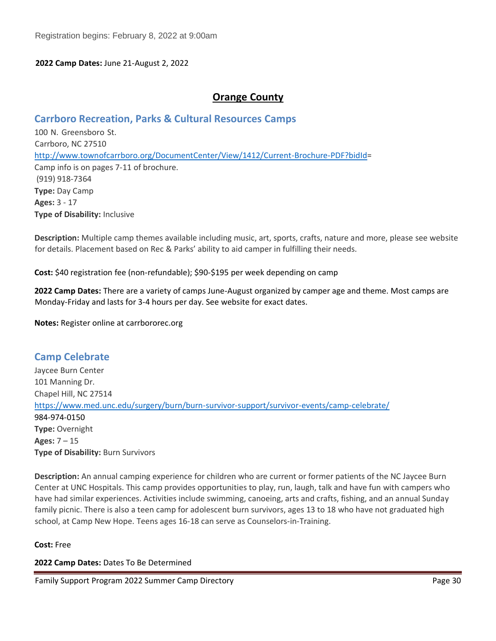#### **2022 Camp Dates:** June 21-August 2, 2022

### **Orange County**

### **Carrboro Recreation, Parks & Cultural Resources Camps**

100 N. Greensboro St. Carrboro, NC 27510 [http://www.townofcarrboro.org/DocumentCenter/View/1412/Current-Brochure-PDF?bidId=](http://www.townofcarrboro.org/DocumentCenter/View/1412/Current-Brochure-PDF?bidId) Camp info is on pages 7-11 of brochure. (919) 918-7364 **Type:** Day Camp **Ages:** 3 - 17 **Type of Disability:** Inclusive

**Description:** Multiple camp themes available including music, art, sports, crafts, nature and more, please see website for details. Placement based on Rec & Parks' ability to aid camper in fulfilling their needs.

**Cost:** \$40 registration fee (non-refundable); \$90-\$195 per week depending on camp

**2022 Camp Dates:** There are a variety of camps June-August organized by camper age and theme. Most camps are Monday-Friday and lasts for 3-4 hours per day. See website for exact dates.

**Notes:** Register online at carrbororec.org

**Camp Celebrate** Jaycee Burn Center 101 Manning Dr. Chapel Hill, NC 27514 <https://www.med.unc.edu/surgery/burn/burn-survivor-support/survivor-events/camp-celebrate/> 984-974-0150 **Type:** Overnight **Ages:** 7 – 15 **Type of Disability:** Burn Survivors

**Description:** An annual camping experience for children who are current or former patients of the NC Jaycee Burn Center at UNC Hospitals. This camp provides opportunities to play, run, laugh, talk and have fun with campers who have had similar experiences. Activities include swimming, canoeing, arts and crafts, fishing, and an annual Sunday family picnic. There is also a teen camp for adolescent burn survivors, ages 13 to 18 who have not graduated high school, at Camp New Hope. Teens ages 16-18 can serve as Counselors-in-Training.

#### **Cost:** Free

**2022 Camp Dates:** Dates To Be Determined

Family Support Program 2022 Summer Camp Directory Page 30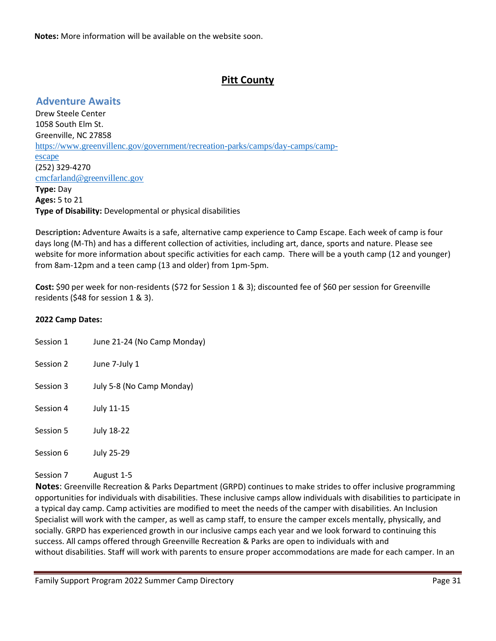**Notes:** More information will be available on the website soon.

## **Pitt County**

## **Adventure Awaits**

Drew Steele Center 1058 South Elm St. Greenville, NC 27858 [https://www.greenvillenc.gov/government/recreation-parks/camps/day-camps/camp](https://www.greenvillenc.gov/government/recreation-parks/camps/day-camps/camp-escape)[escape](https://www.greenvillenc.gov/government/recreation-parks/camps/day-camps/camp-escape) (252) 329-4270 [cmcfarland@greenvillenc.gov](mailto:cmcfarland@greenvillenc.gov) **Type:** Day **Ages:** 5 to 21 **Type of Disability:** Developmental or physical disabilities

**Description:** Adventure Awaits is a safe, alternative camp experience to Camp Escape. Each week of camp is four days long (M-Th) and has a different collection of activities, including art, dance, sports and nature. Please see website for more information about specific activities for each camp. There will be a youth camp (12 and younger) from 8am-12pm and a teen camp (13 and older) from 1pm-5pm.

**Cost:** \$90 per week for non-residents (\$72 for Session 1 & 3); discounted fee of \$60 per session for Greenville residents (\$48 for session 1 & 3).

#### **2022 Camp Dates:**

| Session 1 | June 21-24 (No Camp Monday) |
|-----------|-----------------------------|
| Session 2 | June 7-July 1               |
| Session 3 | July 5-8 (No Camp Monday)   |
| Session 4 | July 11-15                  |

Session 5 July 18-22

Session 6 July 25-29

# Session 7 August 1-5

**Notes**: Greenville Recreation & Parks Department (GRPD) continues to make strides to offer inclusive programming opportunities for individuals with disabilities. These inclusive camps allow individuals with disabilities to participate in a typical day camp. Camp activities are modified to meet the needs of the camper with disabilities. An Inclusion Specialist will work with the camper, as well as camp staff, to ensure the camper excels mentally, physically, and socially. GRPD has experienced growth in our inclusive camps each year and we look forward to continuing this success. All camps offered through Greenville Recreation & Parks are open to individuals with and without disabilities. Staff will work with parents to ensure proper accommodations are made for each camper. In an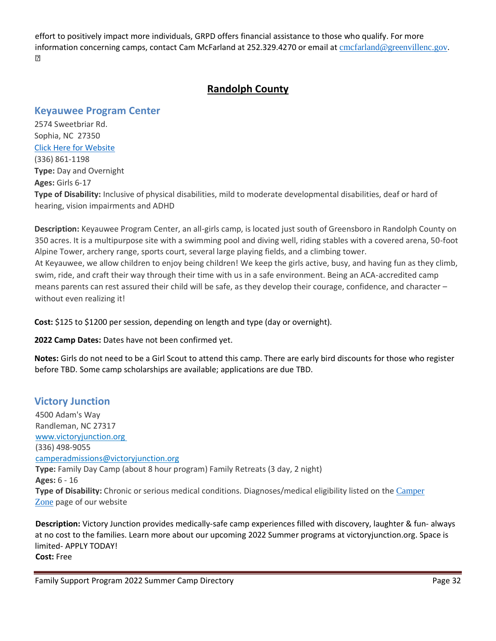effort to positively impact more individuals, GRPD offers financial assistance to those who qualify. For more information concerning camps, contact Cam McFarland at 252.329.4270 or email at [cmcfarland@greenvillenc.gov](mailto:cmcfarland@greenvillenc.gov).  $\sqrt{2}$ 

## **Randolph County**

### **Keyauwee Program Center**

2574 Sweetbriar Rd. Sophia, NC 27350 [Click Here for Website](http://www.keyauwee.com/) (336) 861-1198 **Type:** Day and Overnight **Ages:** Girls 6-17 **Type of Disability:** Inclusive of physical disabilities, mild to moderate developmental disabilities, deaf or hard of hearing, vision impairments and ADHD

**Description:** Keyauwee Program Center, an all-girls camp, is located just south of Greensboro in Randolph County on 350 acres. It is a multipurpose site with a swimming pool and diving well, riding stables with a covered arena, 50-foot Alpine Tower, archery range, sports court, several large playing fields, and a climbing tower. At Keyauwee, we allow children to enjoy being children! We keep the girls active, busy, and having fun as they climb, swim, ride, and craft their way through their time with us in a safe environment. Being an ACA-accredited camp means parents can rest assured their child will be safe, as they develop their courage, confidence, and character – without even realizing it!

**Cost:** \$125 to \$1200 per session, depending on length and type (day or overnight).

**2022 Camp Dates:** Dates have not been confirmed yet.

**Notes:** Girls do not need to be a Girl Scout to attend this camp. There are early bird discounts for those who register before TBD. Some camp scholarships are available; applications are due TBD.

### **Victory Junction**

4500 Adam's Way Randleman, NC 27317 [www.victoryjunction.org](https://nam11.safelinks.protection.outlook.com/?url=http%3A%2F%2Fwww.victoryjunction.org%2F&data=04%7C01%7Ccamperadmissions%40victoryjunction.org%7C49cfd85af0cc47483ae908d8c1312f76%7Cb77cacf54c484c32b258c2b63f42e835%7C0%7C0%7C637471764286522217%7CUnknown%7CTWFpbGZsb3d8eyJWIjoiMC4wLjAwMDAiLCJQIjoiV2luMzIiLCJBTiI6Ik1haWwiLCJXVCI6Mn0%3D%7C1000&sdata=CHujOVZTqZLrhlF9vn8fWjkh0vP5GRI%2F1tz2zuy4h9o%3D&reserved=0) (336) 498-9055 camperadmissions@victoryjunction.org **Type:** Family Day Camp (about 8 hour program) Family Retreats (3 day, 2 night) **Ages:** 6 - 16 **Type of Disability:** Chronic or serious medical conditions. Diagnoses/medical eligibility listed on the [Camper](https://victoryjunction.org/camperzone-2020/) [Zone](https://victoryjunction.org/camperzone-2020/) page of our website

**Description:** Victory Junction provides medically-safe camp experiences filled with discovery, laughter & fun- always at no cost to the families. Learn more about our upcoming 2022 Summer programs at victoryjunction.org. Space is limited- APPLY TODAY! **Cost:** Free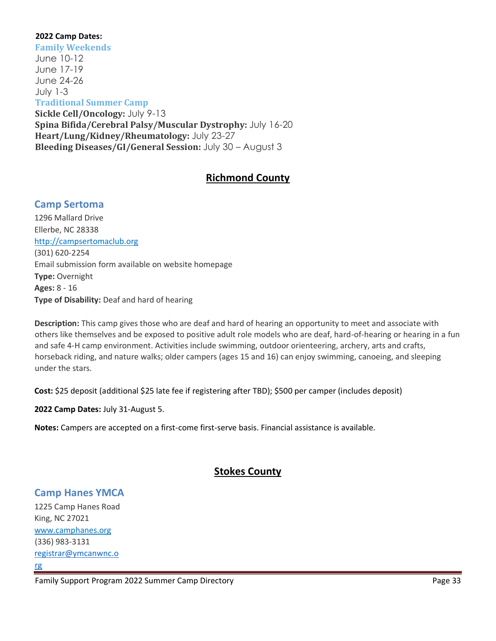#### **2022 Camp Dates:**

**Family Weekends** June 10-12 June 17-19 June 24-26 July 1-3 **Traditional Summer Camp Sickle Cell/Oncology:** July 9-13 **Spina Bifida/Cerebral Palsy/Muscular Dystrophy:** July 16-20 **Heart/Lung/Kidney/Rheumatology:** July 23-27 **Bleeding Diseases/GI/General Session:** July 30 – August 3

## **Richmond County**

### **Camp Sertoma**

1296 Mallard Drive Ellerbe, NC 28338 http://campsertomaclub.org (301) 620-2254 Email submission form available on website homepage **Type:** Overnight **Ages:** 8 - 16 **Type of Disability:** Deaf and hard of hearing

**Description:** This camp gives those who are deaf and hard of hearing an opportunity to meet and associate with others like themselves and be exposed to positive adult role models who are deaf, hard-of-hearing or hearing in a fun and safe 4-H camp environment. Activities include swimming, outdoor orienteering, archery, arts and crafts, horseback riding, and nature walks; older campers (ages 15 and 16) can enjoy swimming, canoeing, and sleeping under the stars.

Cost: \$25 deposit (additional \$25 late fee if registering after TBD); \$500 per camper (includes deposit)

**2022 Camp Dates:** July 31-August 5.

**Notes:** Campers are accepted on a first-come first-serve basis. Financial assistance is available.

## **Stokes County**

### **Camp Hanes YMCA**

1225 Camp Hanes Road King, NC 27021 [www.camphanes.org](http://www.camphanes.org/)  (336) 983-3131 [registrar@ymcanwnc.o](mailto:registrar@ymcanwnc.org) [rg](mailto:registrar@ymcanwnc.org)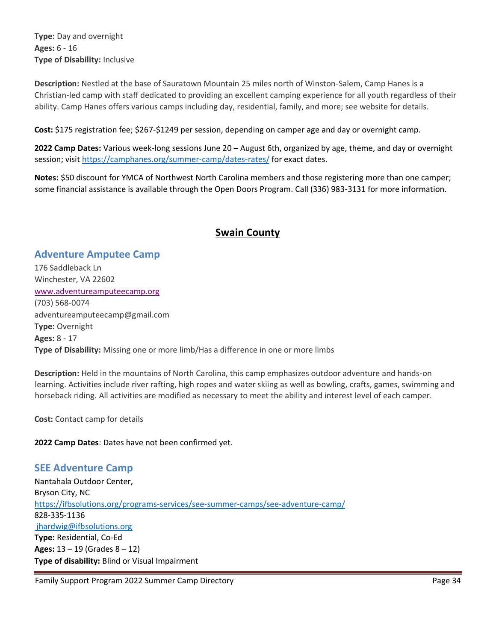**Type:** Day and overnight **Ages:** 6 - 16 **Type of Disability:** Inclusive

**Description:** Nestled at the base of Sauratown Mountain 25 miles north of Winston-Salem, Camp Hanes is a Christian-led camp with staff dedicated to providing an excellent camping experience for all youth regardless of their ability. Camp Hanes offers various camps including day, residential, family, and more; see website for details.

**Cost:** \$175 registration fee; \$267-\$1249 per session, depending on camper age and day or overnight camp.

**2022 Camp Dates:** Various week-long sessions June 20 – August 6th, organized by age, theme, and day or overnight session; visit<https://camphanes.org/summer-camp/dates-rates/> for exact dates.

**Notes:** \$50 discount for YMCA of Northwest North Carolina members and those registering more than one camper; some financial assistance is available through the Open Doors Program. Call (336) 983-3131 for more information.

## **Swain County**

## **Adventure Amputee Camp**

176 Saddleback Ln Winchester, VA 22602 [www.adventureamputeecamp.org](http://www.adventureamputeecamp.org/) (703) 568-0074 adventureamputeecamp@gmail.com **Type:** Overnight **Ages:** 8 - 17 **Type of Disability:** Missing one or more limb/Has a difference in one or more limbs

**Description:** Held in the mountains of North Carolina, this camp emphasizes outdoor adventure and hands-on learning. Activities include river rafting, high ropes and water skiing as well as bowling, crafts, games, swimming and horseback riding. All activities are modified as necessary to meet the ability and interest level of each camper.

**Cost:** Contact camp for details

**2022 Camp Dates**: Dates have not been confirmed yet.

## **SEE Adventure Camp**

Nantahala Outdoor Center, Bryson City, NC <https://ifbsolutions.org/programs-services/see-summer-camps/see-adventure-camp/> 828-335-1136 [jhardwig@ifbsolutions.org](mailto:jhardwig@ifbsolutions.org) **Type:** Residential, Co-Ed **Ages:** 13 – 19 (Grades 8 – 12) **Type of disability:** Blind or Visual Impairment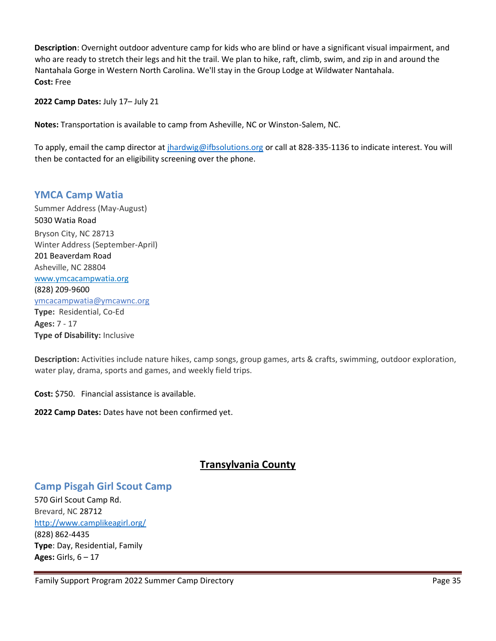**Description**: Overnight outdoor adventure camp for kids who are blind or have a significant visual impairment, and who are ready to stretch their legs and hit the trail. We plan to hike, raft, climb, swim, and zip in and around the Nantahala Gorge in Western North Carolina. We'll stay in the Group Lodge at Wildwater Nantahala. **Cost:** Free

**2022 Camp Dates:** July 17– July 21

**Notes:** Transportation is available to camp from Asheville, NC or Winston-Salem, NC.

To apply, email the camp director at [jhardwig@ifbsolutions.org](mailto:jhardwig@ifbsolutions.org) or call at 828-335-1136 to indicate interest. You will then be contacted for an eligibility screening over the phone.

### **YMCA Camp Watia**

Summer Address (May-August) [5030 Watia Road](https://maps.google.com/?q=5030+Watia+Road+%0D+Bryson+City,+NC+28713&entry=gmail&source=g) Bryson City, NC 28713 Winter Address (September-April) [201 Beaverdam Road](https://maps.google.com/?q=201+Beaverdam+Road+%0D+Asheville,+NC+28804&entry=gmail&source=g) Asheville, NC 28804 [www.ymcacampwatia.org](http://www.ymcacampwatia.org/) (828) 209-9600 [ymcacampwatia@ymcawnc.org](mailto:ymcacampwatia@ymcawnc.org) **Type:** Residential, Co-Ed **Ages:** 7 - 17 **Type of Disability:** Inclusive

**Description:** Activities include nature hikes, camp songs, group games, arts & crafts, swimming, outdoor exploration, water play, drama, sports and games, and weekly field trips.

**Cost:** \$750. Financial assistance is available.

**2022 Camp Dates:** Dates have not been confirmed yet.

## **Transylvania County**

### **Camp Pisgah Girl Scout Camp**

570 Girl Scout Camp Rd. Brevard, NC 28712 <http://www.camplikeagirl.org/> (828) 862-4435 **Type**: Day, Residential, Family **Ages:** Girls, 6 – 17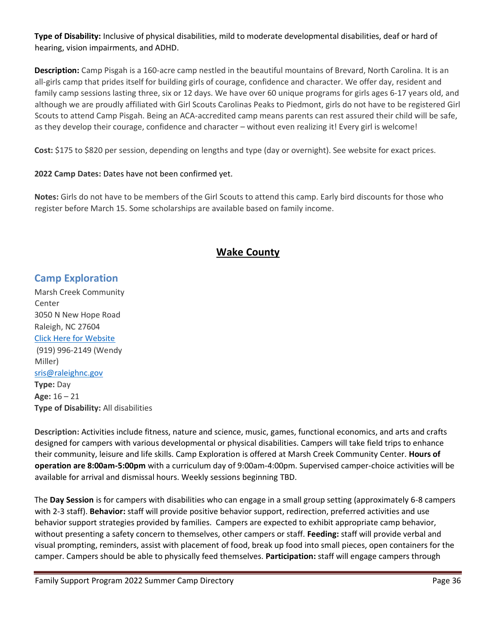**Type of Disability:** Inclusive of physical disabilities, mild to moderate developmental disabilities, deaf or hard of hearing, vision impairments, and ADHD.

**Description:** Camp Pisgah is a 160-acre camp nestled in the beautiful mountains of Brevard, North Carolina. It is an all-girls camp that prides itself for building girls of courage, confidence and character. We offer day, resident and family camp sessions lasting three, six or 12 days. We have over 60 unique programs for girls ages 6-17 years old, and although we are proudly affiliated with Girl Scouts Carolinas Peaks to Piedmont, girls do not have to be registered Girl Scouts to attend Camp Pisgah. Being an ACA-accredited camp means parents can rest assured their child will be safe, as they develop their courage, confidence and character – without even realizing it! Every girl is welcome!

**Cost:** \$175 to \$820 per session, depending on lengths and type (day or overnight). See website for exact prices.

#### **2022 Camp Dates:** Dates have not been confirmed yet.

**Notes:** Girls do not have to be members of the Girl Scouts to attend this camp. Early bird discounts for those who register before March 15. Some scholarships are available based on family income.

## **Wake County**

### **Camp Exploration**

Marsh Creek Community Center 3050 N New Hope Road Raleigh, NC 27604 [Click Here for Website](https://raleighnc.gov/SupportPages/specialized-recreation-and-inclusion-services-summer-camps) (919) 996-2149 (Wendy Miller) [sris@raleighnc.gov](mailto:sris@raleighnc.gov) **Type:** Day **Age:** 16 – 21 **Type of Disability:** All disabilities

**Description:** Activities include fitness, nature and science, music, games, functional economics, and arts and crafts designed for campers with various developmental or physical disabilities. Campers will take field trips to enhance their community, leisure and life skills. Camp Exploration is offered at Marsh Creek Community Center. **Hours of operation are 8:00am-5:00pm** with a curriculum day of 9:00am-4:00pm. Supervised camper-choice activities will be available for arrival and dismissal hours. Weekly sessions beginning TBD.

The **Day Session** is for campers with disabilities who can engage in a small group setting (approximately 6-8 campers with 2-3 staff). **Behavior:** staff will provide positive behavior support, redirection, preferred activities and use behavior support strategies provided by families. Campers are expected to exhibit appropriate camp behavior, without presenting a safety concern to themselves, other campers or staff. **Feeding:** staff will provide verbal and visual prompting, reminders, assist with placement of food, break up food into small pieces, open containers for the camper. Campers should be able to physically feed themselves. **Participation:** staff will engage campers through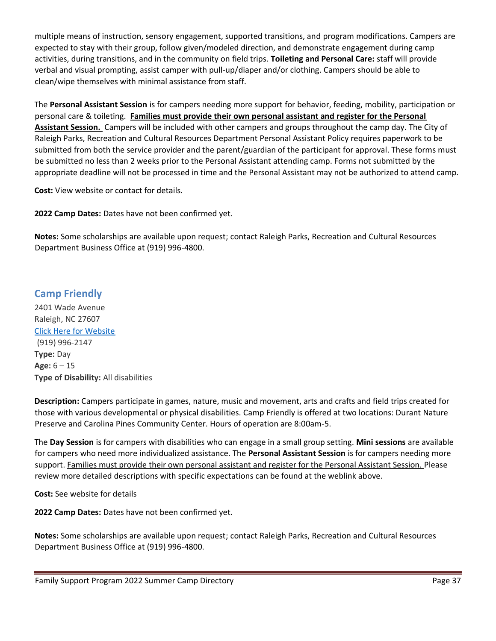multiple means of instruction, sensory engagement, supported transitions, and program modifications. Campers are expected to stay with their group, follow given/modeled direction, and demonstrate engagement during camp activities, during transitions, and in the community on field trips. **Toileting and Personal Care:** staff will provide verbal and visual prompting, assist camper with pull-up/diaper and/or clothing. Campers should be able to clean/wipe themselves with minimal assistance from staff.

The **Personal Assistant Session** is for campers needing more support for behavior, feeding, mobility, participation or personal care & toileting. **Families must provide their own personal assistant and register for the Personal Assistant Session.** Campers will be included with other campers and groups throughout the camp day. The City of Raleigh Parks, Recreation and Cultural Resources Department Personal Assistant Policy requires paperwork to be submitted from both the service provider and the parent/guardian of the participant for approval. These forms must be submitted no less than 2 weeks prior to the Personal Assistant attending camp. Forms not submitted by the appropriate deadline will not be processed in time and the Personal Assistant may not be authorized to attend camp.

**Cost:** View website or contact for details.

**2022 Camp Dates:** Dates have not been confirmed yet.

**Notes:** Some scholarships are available upon request; contact Raleigh Parks, Recreation and Cultural Resources Department Business Office at (919) 996-4800.

## **Camp Friendly**

2401 Wade Avenue Raleigh, NC 27607 [Click Here for Website](https://raleighnc.gov/SupportPages/specialized-recreation-and-inclusion-services-summer-camps) (919) 996-2147 **Type:** Day **Age:** 6 – 15 **Type of Disability:** All disabilities

**Description:** Campers participate in games, nature, music and movement, arts and crafts and field trips created for those with various developmental or physical disabilities. Camp Friendly is offered at two locations: Durant Nature Preserve and Carolina Pines Community Center. Hours of operation are 8:00am-5.

The **Day Session** is for campers with disabilities who can engage in a small group setting. **Mini sessions** are available for campers who need more individualized assistance. The **Personal Assistant Session** is for campers needing more support. Families must provide their own personal assistant and register for the Personal Assistant Session. Please review more detailed descriptions with specific expectations can be found at the weblink above.

**Cost:** See website for details

**2022 Camp Dates:** Dates have not been confirmed yet.

**Notes:** Some scholarships are available upon request; contact Raleigh Parks, Recreation and Cultural Resources Department Business Office at (919) 996-4800.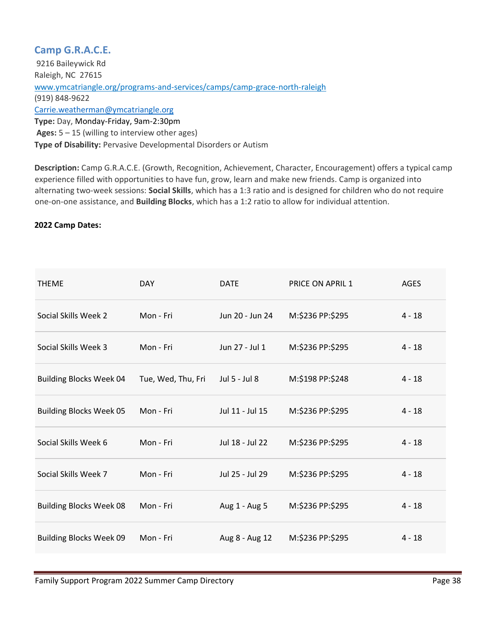## **Camp G.R.A.C.E.**

9216 Baileywick Rd Raleigh, NC 27615 [www.ymcatriangle.org/programs-and-services/camps/camp-grace-north-raleigh](http://www.ymcatriangle.org/programs-and-services/camps/camp-grace-north-raleigh) (919) 848-9622 [Carrie.weatherman@ymcatriangle.org](mailto:Carrie.weatherman@ymcatriangle.org) **Type:** Day, Monday-Friday, 9am-2:30pm **Ages:** 5 – 15 (willing to interview other ages) **Type of Disability:** Pervasive Developmental Disorders or Autism

**Description:** Camp G.R.A.C.E. (Growth, Recognition, Achievement, Character, Encouragement) offers a typical camp experience filled with opportunities to have fun, grow, learn and make new friends. Camp is organized into alternating two-week sessions: **Social Skills**, which has a 1:3 ratio and is designed for children who do not require one-on-one assistance, and **Building Blocks**, which has a 1:2 ratio to allow for individual attention.

#### **2022 Camp Dates:**

| <b>THEME</b>                   | <b>DAY</b>         | <b>DATE</b>     | <b>PRICE ON APRIL 1</b> | <b>AGES</b> |
|--------------------------------|--------------------|-----------------|-------------------------|-------------|
| Social Skills Week 2           | Mon - Fri          | Jun 20 - Jun 24 | M:\$236 PP:\$295        | $4 - 18$    |
| Social Skills Week 3           | Mon - Fri          | Jun 27 - Jul 1  | M:\$236 PP:\$295        | $4 - 18$    |
| <b>Building Blocks Week 04</b> | Tue, Wed, Thu, Fri | Jul 5 - Jul 8   | M:\$198 PP:\$248        | $4 - 18$    |
| <b>Building Blocks Week 05</b> | Mon - Fri          | Jul 11 - Jul 15 | M:\$236 PP:\$295        | $4 - 18$    |
| Social Skills Week 6           | Mon - Fri          | Jul 18 - Jul 22 | M:\$236 PP:\$295        | $4 - 18$    |
| Social Skills Week 7           | Mon - Fri          | Jul 25 - Jul 29 | M:\$236 PP:\$295        | $4 - 18$    |
| <b>Building Blocks Week 08</b> | Mon - Fri          | Aug 1 - Aug 5   | M:\$236 PP:\$295        | $4 - 18$    |
| <b>Building Blocks Week 09</b> | Mon - Fri          | Aug 8 - Aug 12  | M:\$236 PP:\$295        | $4 - 18$    |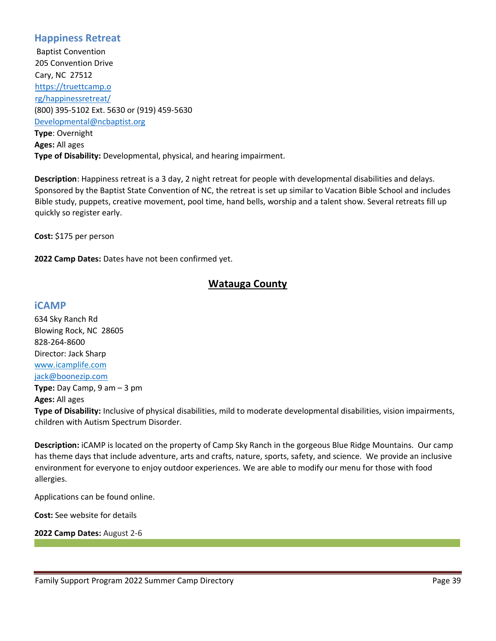### **Happiness Retreat**

Baptist Convention 205 Convention Drive Cary, NC 27512 [https://truettcamp.o](https://truettcamp.org/happinessretreat/) [rg/happinessretreat/](https://truettcamp.org/happinessretreat/) (800) 395-5102 Ext. 5630 or (919) 459-5630 [Developmental@ncbaptist.org](mailto:Developmental@ncbaptist.org) **Type**: Overnight **Ages:** All ages **Type of Disability:** Developmental, physical, and hearing impairment.

**Description**: Happiness retreat is a 3 day, 2 night retreat for people with developmental disabilities and delays. Sponsored by the Baptist State Convention of NC, the retreat is set up similar to Vacation Bible School and includes Bible study, puppets, creative movement, pool time, hand bells, worship and a talent show. Several retreats fill up quickly so register early.

**Cost:** \$175 per person

**2022 Camp Dates:** Dates have not been confirmed yet.

## **Watauga County**

#### **iCAMP**

634 Sky Ranch Rd Blowing Rock, NC 28605 828-264-8600 Director: Jack Sharp [www.icamplife.com](http://www.icamplife.com/) [jack@boonezip.com](mailto:jack@boonezip.com)

**Type:** Day Camp, 9 am – 3 pm **Ages:** All ages

**Type of Disability:** Inclusive of physical disabilities, mild to moderate developmental disabilities, vision impairments, children with Autism Spectrum Disorder.

**Description:** iCAMP is located on the property of Camp Sky Ranch in the gorgeous Blue Ridge Mountains. Our camp has theme days that include adventure, arts and crafts, nature, sports, safety, and science. We provide an inclusive environment for everyone to enjoy outdoor experiences. We are able to modify our menu for those with food allergies.

Applications can be found online.

**Cost:** See website for details

**2022 Camp Dates:** August 2-6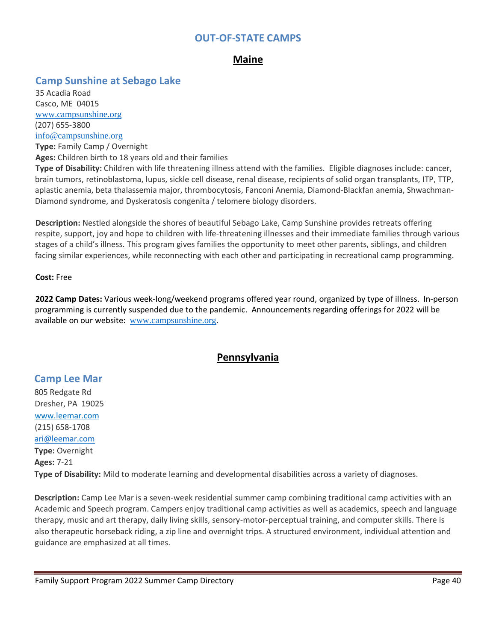### **OUT-OF-STATE CAMPS**

## **Maine**

### **Camp Sunshine at Sebago Lake**

35 Acadia Road Casco, ME 04015 [www.campsunshine.org](http://www.campsunshine.org/) (207) 655-3800 [info@campsunshine.org](mailto:info@campsunshine.org) **Type:** Family Camp / Overnight

**Ages:** Children birth to 18 years old and their families

**Type of Disability:** Children with life threatening illness attend with the families. Eligible diagnoses include: cancer, brain tumors, retinoblastoma, lupus, sickle cell disease, renal disease, recipients of solid organ transplants, ITP, TTP, aplastic anemia, beta thalassemia major, thrombocytosis, Fanconi Anemia, Diamond-Blackfan anemia, Shwachman-Diamond syndrome, and Dyskeratosis congenita / telomere biology disorders.

**Description:** Nestled alongside the shores of beautiful Sebago Lake, Camp Sunshine provides retreats offering respite, support, joy and hope to children with life-threatening illnesses and their immediate families through various stages of a child's illness. This program gives families the opportunity to meet other parents, siblings, and children facing similar experiences, while reconnecting with each other and participating in recreational camp programming.

#### **Cost:** Free

**2022 Camp Dates:** Various week-long/weekend programs offered year round, organized by type of illness. In-person programming is currently suspended due to the pandemic. Announcements regarding offerings for 2022 will be available on our website: [www.campsunshine.org](http://www.campsunshine.org/).

## **Pennsylvania**

#### **Camp Lee Mar**

805 Redgate Rd Dresher, PA19025 [www.leemar.com](http://www.leemar.com/) (215) 658-1708 [ari@leemar.com](mailto:ari@leemar.com) **Type:** Overnight **Ages:** 7-21 **Type of Disability:** Mild to moderate learning and developmental disabilities across a variety of diagnoses.

**Description:** Camp Lee Mar is a seven-week residential summer camp combining traditional camp activities with an Academic and Speech program. Campers enjoy traditional camp activities as well as academics, speech and language therapy, music and art therapy, daily living skills, sensory-motor-perceptual training, and computer skills. There is also therapeutic horseback riding, a zip line and overnight trips. A structured environment, individual attention and guidance are emphasized at all times.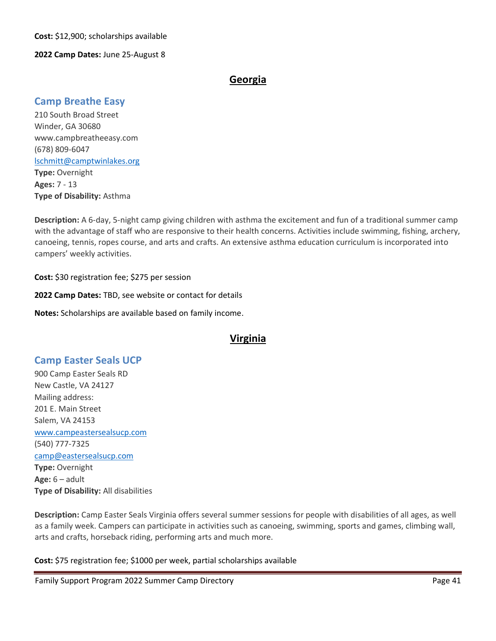**Cost:** \$12,900; scholarships available

#### **2022 Camp Dates:** June 25-August 8

## **Georgia**

### **Camp Breathe Easy**

210 South Broad Street Winder, GA 30680 www.campbreatheeasy.com (678) 809-6047 [lschmitt@camptwinlakes.org](mailto:lschmitt@camptwinlakes.org) **Type:** Overnight **Ages:** 7 - 13 **Type of Disability:** Asthma

**Description:** A 6-day, 5-night camp giving children with asthma the excitement and fun of a traditional summer camp with the advantage of staff who are responsive to their health concerns. Activities include swimming, fishing, archery, canoeing, tennis, ropes course, and arts and crafts. An extensive asthma education curriculum is incorporated into campers' weekly activities.

**Cost:** \$30 registration fee; \$275 per session

**2022 Camp Dates:** TBD, see website or contact for details

**Notes:** Scholarships are available based on family income.

### **Virginia**

## **Camp Easter Seals UCP**

900 Camp Easter Seals RD New Castle, VA 24127 Mailing address: 201 E. Main Street Salem, VA 24153 [www.campeastersealsucp.com](http://www.campeastersealsucp.com/) (540) 777-7325 [camp@eastersealsucp.com](mailto:camp@eastersealsucp.com) **Type:** Overnight **Age:** 6 – adult **Type of Disability:** All disabilities

**Description:** Camp Easter Seals Virginia offers several summer sessions for people with disabilities of all ages, as well as a family week. Campers can participate in activities such as canoeing, swimming, sports and games, climbing wall, arts and crafts, horseback riding, performing arts and much more.

**Cost:** \$75 registration fee; \$1000 per week, partial scholarships available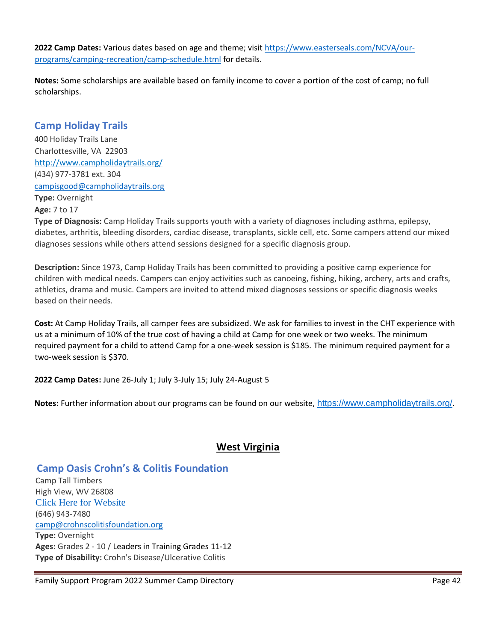**2022 Camp Dates:** Various dates based on age and theme; visi[t https://www.easterseals.com/NCVA/our](https://www.easterseals.com/NCVA/our-programs/camping-recreation/camp-schedule.html)[programs/camping-recreation/camp-schedule.html](https://www.easterseals.com/NCVA/our-programs/camping-recreation/camp-schedule.html) for details.

**Notes:** Some scholarships are available based on family income to cover a portion of the cost of camp; no full scholarships.

## **Camp Holiday Trails**

400 Holiday Trails Lane Charlottesville, VA22903 http://www.campholidaytrails.org/ (434) 977-3781 ext. 304 [campisgood@campholidaytrails.org](mailto:campisgood@campholidaytrails.org) **Type:** Overnight **Age:** 7 to 17

**Type of Diagnosis:** Camp Holiday Trails supports youth with a variety of diagnoses including asthma, epilepsy, diabetes, arthritis, bleeding disorders, cardiac disease, transplants, sickle cell, etc. Some campers attend our mixed diagnoses sessions while others attend sessions designed for a specific diagnosis group.

**Description:** Since 1973, Camp Holiday Trails has been committed to providing a positive camp experience for children with medical needs. Campers can enjoy activities such as canoeing, fishing, hiking, archery, arts and crafts, athletics, drama and music. Campers are invited to attend mixed diagnoses sessions or specific diagnosis weeks based on their needs.

**Cost:** At Camp Holiday Trails, all camper fees are subsidized. We ask for families to invest in the CHT experience with us at a minimum of 10% of the true cost of having a child at Camp for one week or two weeks. The minimum required payment for a child to attend Camp for a one-week session is \$185. The minimum required payment for a two-week session is \$370.

**2022 Camp Dates:** June 26-July 1; July 3-July 15; July 24-August 5

**Notes:** Further information about our programs can be found on our website, <https://www.campholidaytrails.org/>.

# **West Virginia**

## **Camp Oasis Crohn's & Colitis Foundation**

Camp Tall Timbers High View, WV 26808 [Click Here for Website](http://www.crohnscolitisfoundation.org/get-involved/camp-oasis/find-a-camp/) (646) 943-7480 [camp@crohnscolitisfoundation.org](mailto:camp@crohnscolitisfoundation.org) **Type:** Overnight **Ages:** Grades 2 - 10 / Leaders in Training Grades 11-12 **Type of Disability:** Crohn's Disease/Ulcerative Colitis